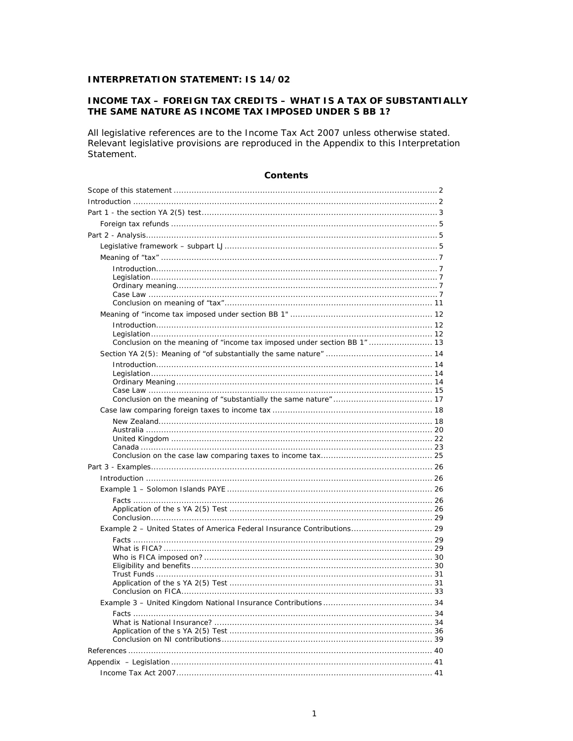# **INTERPRETATION STATEMENT: IS 14/02**

# **INCOME TAX - FOREIGN TAX CREDITS - WHAT IS A TAX OF SUBSTANTIALLY** THE SAME NATURE AS INCOME TAX IMPOSED UNDER S BB 1?

All legislative references are to the Income Tax Act 2007 unless otherwise stated. Relevant legislative provisions are reproduced in the Appendix to this Interpretation Statement.

| Conclusion on the meaning of "income tax imposed under section BB 1"  13 |  |
|--------------------------------------------------------------------------|--|
|                                                                          |  |
|                                                                          |  |
|                                                                          |  |
|                                                                          |  |
|                                                                          |  |
|                                                                          |  |
|                                                                          |  |
|                                                                          |  |
|                                                                          |  |
|                                                                          |  |
|                                                                          |  |
|                                                                          |  |
|                                                                          |  |
|                                                                          |  |
|                                                                          |  |
|                                                                          |  |
| Example 2 - United States of America Federal Insurance Contributions 29  |  |
|                                                                          |  |
|                                                                          |  |
|                                                                          |  |
|                                                                          |  |
|                                                                          |  |
|                                                                          |  |
|                                                                          |  |
|                                                                          |  |
|                                                                          |  |
|                                                                          |  |
|                                                                          |  |
|                                                                          |  |
|                                                                          |  |

## Contents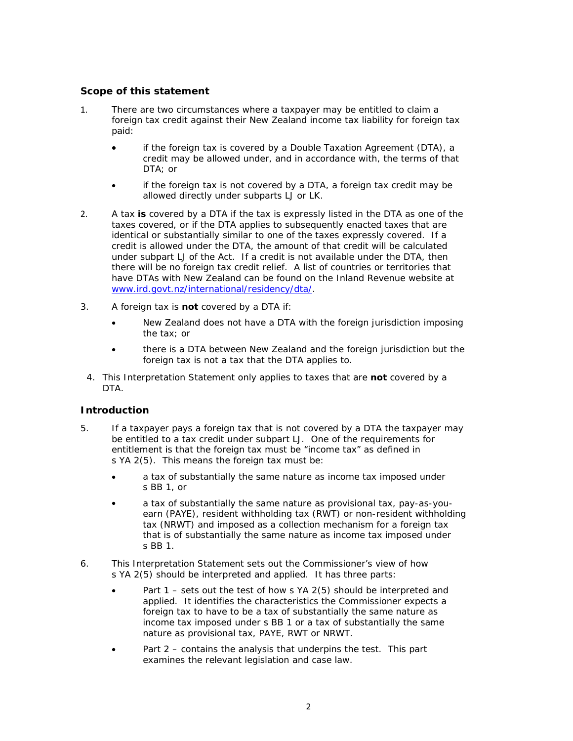# Scope of this statement

- There are two circumstances where a taxpayer may be entitled to claim a  $1.$ foreign tax credit against their New Zealand income tax liability for foreign tax paid:
	- if the foreign tax is covered by a Double Taxation Agreement (DTA), a credit may be allowed under, and in accordance with, the terms of that DTA; or
	- if the foreign tax is not covered by a DTA, a foreign tax credit may be allowed directly under subparts LJ or LK.
- $\mathcal{P}$ A tax is covered by a DTA if the tax is expressly listed in the DTA as one of the taxes covered, or if the DTA applies to subsequently enacted taxes that are identical or substantially similar to one of the taxes expressly covered. If a credit is allowed under the DTA, the amount of that credit will be calculated under subpart LJ of the Act. If a credit is not available under the DTA, then there will be no foreign tax credit relief. A list of countries or territories that have DTAs with New Zealand can be found on the Inland Revenue website at www.ird.govt.nz/international/residency/dta/.
- $\mathcal{R}$ A foreign tax is not covered by a DTA if:
	- New Zealand does not have a DTA with the foreign jurisdiction imposing  $\bullet$ the tax: or
	- there is a DTA between New Zealand and the foreign jurisdiction but the foreign tax is not a tax that the DTA applies to.
- 4. This Interpretation Statement only applies to taxes that are not covered by a **DTA**

## **Introduction**

- $5<sub>1</sub>$ If a taxpayer pays a foreign tax that is not covered by a DTA the taxpayer may be entitled to a tax credit under subpart LJ. One of the requirements for entitlement is that the foreign tax must be "income tax" as defined in s YA 2(5). This means the foreign tax must be:
	- a tax of substantially the same nature as income tax imposed under s BB 1, or
	- a tax of substantially the same nature as provisional tax, pay-as-youearn (PAYE), resident withholding tax (RWT) or non-resident withholding tax (NRWT) and imposed as a collection mechanism for a foreign tax that is of substantially the same nature as income tax imposed under s BB 1.
- 6. This Interpretation Statement sets out the Commissioner's view of how s YA 2(5) should be interpreted and applied. It has three parts:
	- Part 1 sets out the test of how s YA 2(5) should be interpreted and applied. It identifies the characteristics the Commissioner expects a foreign tax to have to be a tax of substantially the same nature as income tax imposed under s BB 1 or a tax of substantially the same nature as provisional tax, PAYE, RWT or NRWT.
	- Part 2 contains the analysis that underpins the test. This part examines the relevant legislation and case law.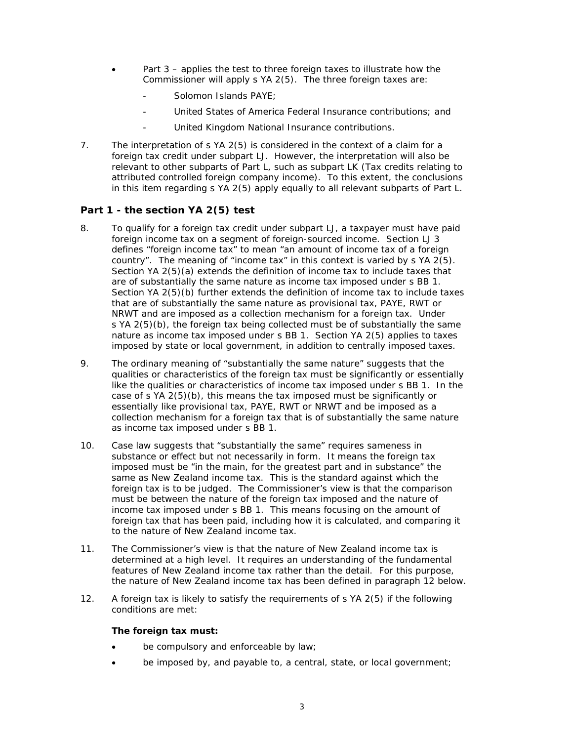- Part 3 applies the test to three foreign taxes to illustrate how the Commissioner will apply s YA 2(5). The three foreign taxes are:
	- Solomon Islands PAYE:
	- United States of America Federal Insurance contributions; and
	- United Kingdom National Insurance contributions.  $\overline{a}$
- $7<sub>1</sub>$ The interpretation of s YA 2(5) is considered in the context of a claim for a foreign tax credit under subpart LJ. However, the interpretation will also be relevant to other subparts of Part L, such as subpart LK (Tax credits relating to attributed controlled foreign company income). To this extent, the conclusions in this item regarding s YA 2(5) apply equally to all relevant subparts of Part L.

# Part 1 - the section YA 2(5) test

- 8. To qualify for a foreign tax credit under subpart LJ, a taxpayer must have paid foreign income tax on a segment of foreign-sourced income. Section LJ 3 defines "foreign income tax" to mean "an amount of income tax of a foreign country". The meaning of "income tax" in this context is varied by s YA 2(5). Section YA 2(5)(a) extends the definition of income tax to include taxes that are of substantially the same nature as income tax imposed under s BB 1. Section YA 2(5)(b) further extends the definition of income tax to include taxes that are of substantially the same nature as provisional tax, PAYE, RWT or NRWT and are imposed as a collection mechanism for a foreign tax. Under s YA 2(5)(b), the foreign tax being collected must be of substantially the same nature as income tax imposed under s BB 1. Section YA 2(5) applies to taxes imposed by state or local government, in addition to centrally imposed taxes.
- The ordinary meaning of "substantially the same nature" suggests that the 9. qualities or characteristics of the foreign tax must be significantly or essentially like the qualities or characteristics of income tax imposed under s BB 1. In the case of s YA 2(5)(b), this means the tax imposed must be significantly or essentially like provisional tax, PAYE, RWT or NRWT and be imposed as a collection mechanism for a foreign tax that is of substantially the same nature as income tax imposed under s BB 1.
- $10.$ Case law suggests that "substantially the same" requires sameness in substance or effect but not necessarily in form. It means the foreign tax imposed must be "in the main, for the greatest part and in substance" the same as New Zealand income tax. This is the standard against which the foreign tax is to be judged. The Commissioner's view is that the comparison must be between the nature of the foreign tax imposed and the nature of income tax imposed under s BB 1. This means focusing on the amount of foreign tax that has been paid, including how it is calculated, and comparing it to the nature of New Zealand income tax.
- $11.$ The Commissioner's view is that the nature of New Zealand income tax is determined at a high level. It requires an understanding of the fundamental features of New Zealand income tax rather than the detail. For this purpose, the nature of New Zealand income tax has been defined in paragraph 12 below.
- A foreign tax is likely to satisfy the requirements of s YA 2(5) if the following  $12.$ conditions are met:

## The foreign tax must:

- be compulsory and enforceable by law;
- be imposed by, and payable to, a central, state, or local government;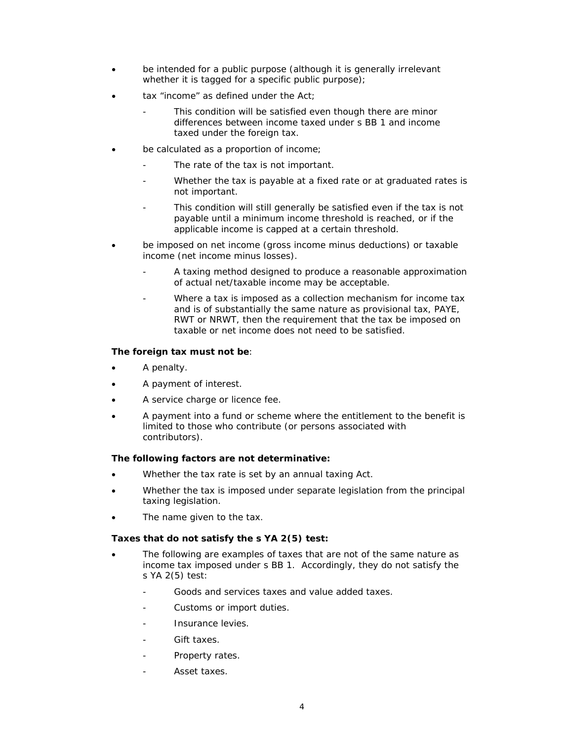- be intended for a public purpose (although it is generally irrelevant whether it is tagged for a specific public purpose);
- tax "income" as defined under the Act;
	- This condition will be satisfied even though there are minor differences between income taxed under s BB 1 and income taxed under the foreign tax.
- be calculated as a proportion of income;
	- The rate of the tax is not important.
	- Whether the tax is payable at a fixed rate or at graduated rates is not important.
	- This condition will still generally be satisfied even if the tax is not payable until a minimum income threshold is reached, or if the applicable income is capped at a certain threshold.
- be imposed on net income (gross income minus deductions) or taxable income (net income minus losses).
	- A taxing method designed to produce a reasonable approximation of actual net/taxable income may be acceptable.
	- Where a tax is imposed as a collection mechanism for income tax and is of substantially the same nature as provisional tax, PAYE, RWT or NRWT, then the requirement that the tax be imposed on taxable or net income does not need to be satisfied.

# **The foreign tax must not be**:

- A penalty.
- A payment of interest.
- A service charge or licence fee.
- A payment into a fund or scheme where the entitlement to the benefit is limited to those who contribute (or persons associated with contributors).

## **The following factors are not determinative:**

- Whether the tax rate is set by an annual taxing Act.
- Whether the tax is imposed under separate legislation from the principal taxing legislation.
- The name given to the tax.

## **Taxes that do not satisfy the s YA 2(5) test:**

- The following are examples of taxes that are not of the same nature as income tax imposed under s BB 1. Accordingly, they do not satisfy the s YA 2(5) test:
	- Goods and services taxes and value added taxes.
	- Customs or import duties.
	- Insurance levies.
	- Gift taxes.
	- Property rates.
	- Asset taxes.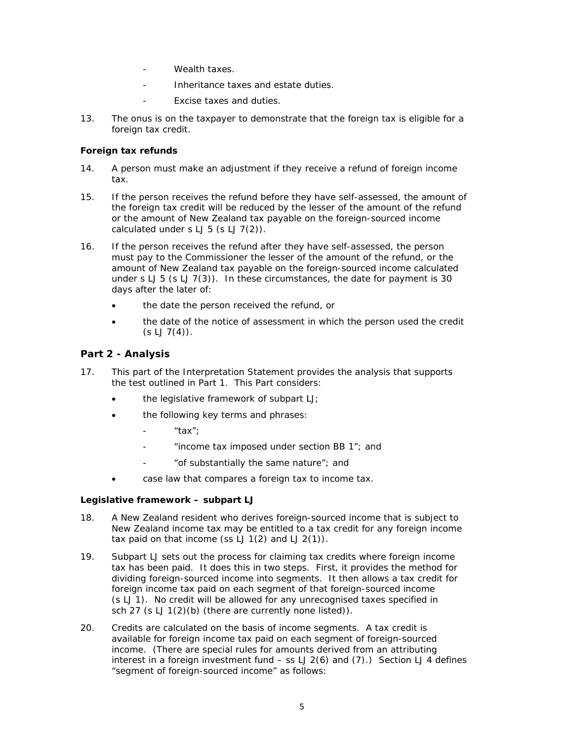- Wealth taxes.
- Inheritance taxes and estate duties.  $\overline{a}$
- Excise taxes and duties.
- $13.$ The onus is on the taxpayer to demonstrate that the foreign tax is eligible for a foreign tax credit.

# Foreign tax refunds

- $14.$ A person must make an adjustment if they receive a refund of foreign income tax.
- $15.$ If the person receives the refund before they have self-assessed, the amount of the foreign tax credit will be reduced by the lesser of the amount of the refund or the amount of New Zealand tax payable on the foreign-sourced income calculated under  $s LJ 5 (s LJ 7(2))$ .
- If the person receives the refund after they have self-assessed, the person  $16.$ must pay to the Commissioner the lesser of the amount of the refund, or the amount of New Zealand tax payable on the foreign-sourced income calculated under  $s LJ 5$  ( $s LJ 7(3)$ ). In these circumstances, the date for payment is 30 days after the later of:
	- the date the person received the refund, or
	- the date of the notice of assessment in which the person used the credit  $(S LJ7(4))$ .

# Part 2 - Analysis

- This part of the Interpretation Statement provides the analysis that supports  $17.$ the test outlined in Part 1. This Part considers:
	- the legislative framework of subpart LJ;
	- the following key terms and phrases:
		- "tax";
		- "income tax imposed under section BB 1"; and
		- "of substantially the same nature"; and
	- case law that compares a foreign tax to income tax.

## Legislative framework - subpart LJ

- 18 A New Zealand resident who derives foreign-sourced income that is subject to New Zealand income tax may be entitled to a tax credit for any foreign income tax paid on that income (ss  $LJ$  1(2) and  $LJ$  2(1)).
- $19<sub>1</sub>$ Subpart LJ sets out the process for claiming tax credits where foreign income tax has been paid. It does this in two steps. First, it provides the method for dividing foreign-sourced income into segments. It then allows a tax credit for foreign income tax paid on each segment of that foreign-sourced income (s LJ 1). No credit will be allowed for any unrecognised taxes specified in sch 27 (s LJ 1(2)(b) (there are currently none listed)).
- 20. Credits are calculated on the basis of income segments. A tax credit is available for foreign income tax paid on each segment of foreign-sourced income. (There are special rules for amounts derived from an attributing interest in a foreign investment fund  $-$  ss LJ 2(6) and (7).) Section LJ 4 defines "segment of foreign-sourced income" as follows: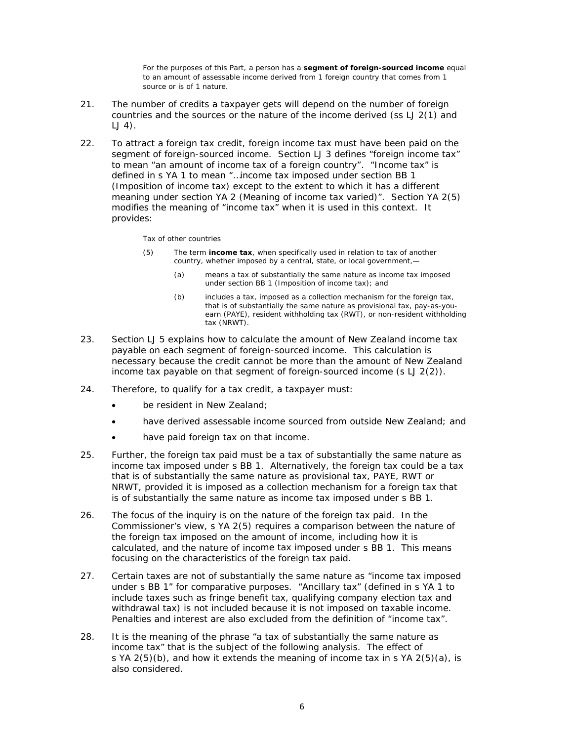For the purposes of this Part, a person has a segment of foreign-sourced income equal to an amount of assessable income derived from 1 foreign country that comes from 1 source or is of 1 nature.

- $21.$ The number of credits a taxpayer gets will depend on the number of foreign countries and the sources or the nature of the income derived (ss LJ 2(1) and  $LJ$  4).
- $22.$ To attract a foreign tax credit, foreign income tax must have been paid on the segment of foreign-sourced income. Section LJ 3 defines "foreign income tax" to mean "an amount of income tax of a foreign country". "Income tax" is defined in s YA 1 to mean "...income tax imposed under section BB 1 (Imposition of income tax) except to the extent to which it has a different meaning under section YA 2 (Meaning of income tax varied)". Section YA 2(5) modifies the meaning of "income tax" when it is used in this context. It provides:

### Tax of other countries

- $(5)$ The term income tax, when specifically used in relation to tax of another country, whether imposed by a central, state, or local government,
	- means a tax of substantially the same nature as income tax imposed  $(a)$ under section BB 1 (Imposition of income tax); and
	- $(b)$ includes a tax, imposed as a collection mechanism for the foreign tax. that is of substantially the same nature as provisional tax, pay-as-youearn (PAYE), resident withholding tax (RWT), or non-resident withholding tax (NRWT).
- $23<sup>2</sup>$ Section LJ 5 explains how to calculate the amount of New Zealand income tax payable on each segment of foreign-sourced income. This calculation is necessary because the credit cannot be more than the amount of New Zealand income tax payable on that segment of foreign-sourced income  $(s LJ 2(2))$ .
- 24. Therefore, to qualify for a tax credit, a taxpayer must:
	- be resident in New Zealand:
	- have derived assessable income sourced from outside New Zealand; and
	- have paid foreign tax on that income.
- Further, the foreign tax paid must be a tax of substantially the same nature as 25. income tax imposed under s BB 1. Alternatively, the foreign tax could be a tax that is of substantially the same nature as provisional tax, PAYE, RWT or NRWT, provided it is imposed as a collection mechanism for a foreign tax that is of substantially the same nature as income tax imposed under s BB 1.
- 26. The focus of the inquiry is on the nature of the foreign tax paid. In the Commissioner's view, s YA 2(5) requires a comparison between the nature of the foreign tax imposed on the amount of income, including how it is calculated, and the nature of income tax imposed under s BB 1. This means focusing on the characteristics of the foreign tax paid.
- 27. Certain taxes are not of substantially the same nature as "income tax imposed under s BB 1" for comparative purposes. "Ancillary tax" (defined in s YA 1 to include taxes such as fringe benefit tax, qualifying company election tax and withdrawal tax) is not included because it is not imposed on taxable income. Penalties and interest are also excluded from the definition of "income tax".
- 28. It is the meaning of the phrase "a tax of substantially the same nature as income tax" that is the subject of the following analysis. The effect of s YA 2(5)(b), and how it extends the meaning of income tax in s YA 2(5)(a), is also considered.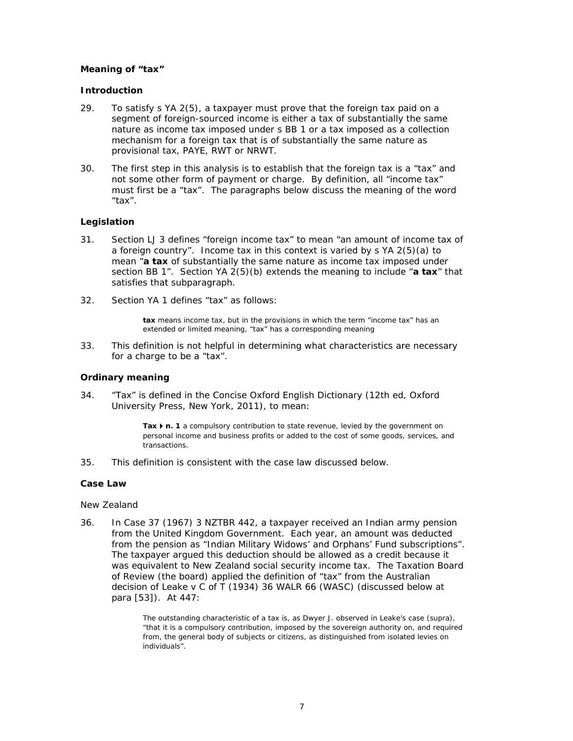## Meaning of "tax"

## **Introduction**

- 29. To satisfy s YA 2(5), a taxpayer must prove that the foreign tax paid on a segment of foreign-sourced income is either a tax of substantially the same nature as income tax imposed under s BB 1 or a tax imposed as a collection mechanism for a foreign tax that is of substantially the same nature as provisional tax, PAYE, RWT or NRWT.
- 30. The first step in this analysis is to establish that the foreign tax is a "tax" and not some other form of payment or charge. By definition, all "income tax" must first be a "tax". The paragraphs below discuss the meaning of the word  $"tax".$

## Legislation

- Section LJ 3 defines "foreign income tax" to mean "an amount of income tax of  $31.$ a foreign country". Income tax in this context is varied by  $\frac{1}{2}$  (5)(a) to mean "a tax of substantially the same nature as income tax imposed under section BB 1". Section YA  $2(5)(b)$  extends the meaning to include "a tax" that satisfies that subparagraph.
- 32 Section YA 1 defines "tax" as follows:

tax means income tax, but in the provisions in which the term "income tax" has an extended or limited meaning, "tax" has a corresponding meaning

 $33.$ This definition is not helpful in determining what characteristics are necessary for a charge to be a "tax".

## **Ordinary meaning**

"Tax" is defined in the Concise Oxford English Dictionary (12th ed, Oxford  $34.$ University Press, New York, 2011), to mean:

> Tax  $\triangleright$  n. 1 a compulsory contribution to state revenue, levied by the government on personal income and business profits or added to the cost of some goods, services, and transactions.

 $35.$ This definition is consistent with the case law discussed below.

## Case Law

## New Zealand

36. In Case 37 (1967) 3 NZTBR 442, a taxpayer received an Indian army pension from the United Kingdom Government. Each year, an amount was deducted from the pension as "Indian Military Widows' and Orphans' Fund subscriptions". The taxpayer argued this deduction should be allowed as a credit because it was equivalent to New Zealand social security income tax. The Taxation Board of Review (the board) applied the definition of "tax" from the Australian decision of Leake v C of T (1934) 36 WALR 66 (WASC) (discussed below at para [53]). At 447:

> The outstanding characteristic of a tax is, as Dwyer J. observed in Leake's case (supra), "that it is a compulsory contribution, imposed by the sovereign authority on, and required from, the general body of subjects or citizens, as distinguished from isolated levies on individuals"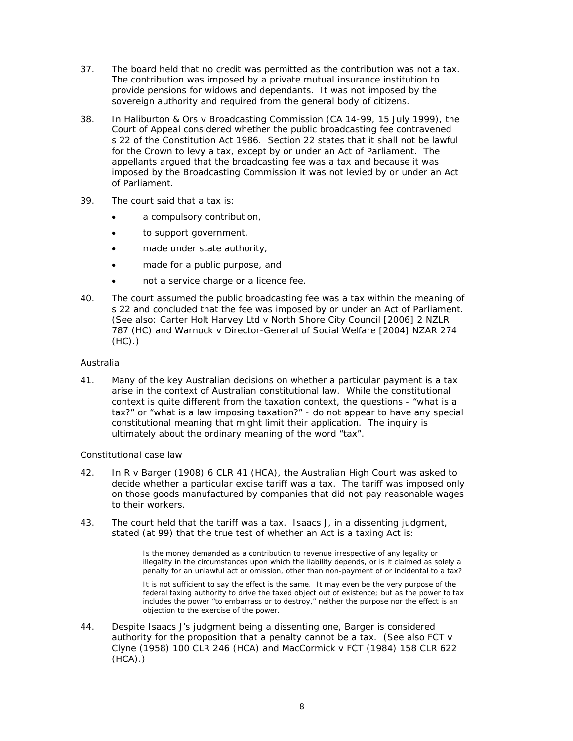- $37.$ The board held that no credit was permitted as the contribution was not a tax. The contribution was imposed by a private mutual insurance institution to provide pensions for widows and dependants. It was not imposed by the sovereign authority and required from the general body of citizens.
- 38. In Haliburton & Ors v Broadcasting Commission (CA 14-99, 15 July 1999), the Court of Appeal considered whether the public broadcasting fee contravened s 22 of the Constitution Act 1986. Section 22 states that it shall not be lawful for the Crown to levy a tax, except by or under an Act of Parliament. The appellants arqued that the broadcasting fee was a tax and because it was imposed by the Broadcasting Commission it was not levied by or under an Act of Parliament.
- 39. The court said that a tax is:
	- a compulsory contribution,
	- to support government,  $\bullet$
	- made under state authority,
	- made for a public purpose, and
	- not a service charge or a licence fee.
- The court assumed the public broadcasting fee was a tax within the meaning of 40. s 22 and concluded that the fee was imposed by or under an Act of Parliament. (See also: Carter Holt Harvey Ltd v North Shore City Council [2006] 2 NZLR 787 (HC) and Warnock v Director-General of Social Welfare [2004] NZAR 274  $(HC)$ .)

## Australia

 $41.$ Many of the key Australian decisions on whether a particular payment is a tax arise in the context of Australian constitutional law. While the constitutional context is quite different from the taxation context, the questions - "what is a tax?" or "what is a law imposing taxation?" - do not appear to have any special constitutional meaning that might limit their application. The inquiry is ultimately about the ordinary meaning of the word "tax".

## Constitutional case law

- $42.$ In  $R$  v Barger (1908) 6 CLR 41 (HCA), the Australian High Court was asked to decide whether a particular excise tariff was a tax. The tariff was imposed only on those goods manufactured by companies that did not pay reasonable wages to their workers.
- $43.$ The court held that the tariff was a tax. Isaacs J, in a dissenting judgment, stated (at 99) that the true test of whether an Act is a taxing Act is:

Is the money demanded as a contribution to revenue irrespective of any legality or illegality in the circumstances upon which the liability depends, or is it claimed as solely a penalty for an unlawful act or omission, other than non-payment of or incidental to a tax?

It is not sufficient to say the effect is the same. It may even be the very purpose of the federal taxing authority to drive the taxed object out of existence; but as the power to tax includes the power "to embarrass or to destroy," neither the purpose nor the effect is an objection to the exercise of the power.

44. Despite Isaacs J's judgment being a dissenting one, *Barger* is considered authority for the proposition that a penalty cannot be a tax. (See also  $FCTV$ Clyne (1958) 100 CLR 246 (HCA) and MacCormick v FCT (1984) 158 CLR 622  $(HCA)$ .)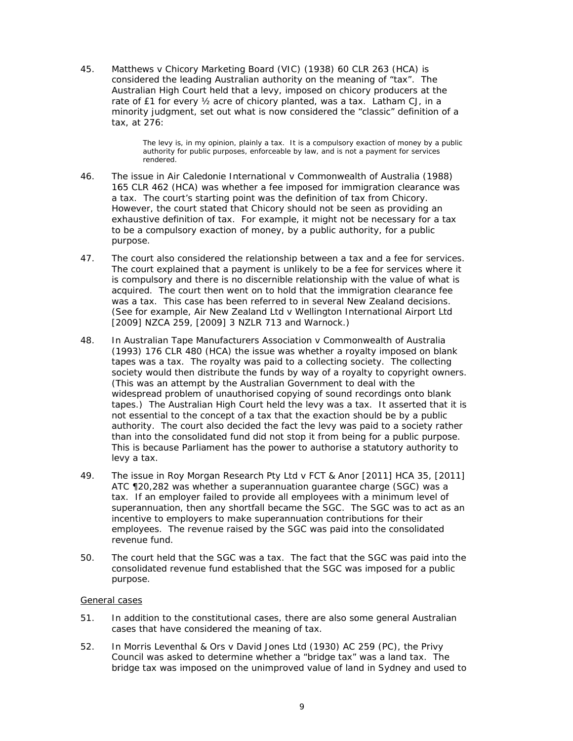45. *M* considered the leading Australian authority on the meaning of "tax". The Australian High Court held that a levy, imposed on chicory producers at the rate of £1 for every 1/<sub>2</sub> acre of chicory planted, was a tax. Latham CJ, in a minority judgment, set out what is now considered the "classic" definition of a ta ax, at 276: *Matthews v Chicory Marketing Board* (VIC) (1938) 60 CLR 263 (HCA) is

> The levy is, in my opinion, plainly a tax. It is a compulsory exaction of money by a public authority for public purposes, enforceable by law, and is not a payment for services render ed.

- 46. The issue in *Air Caledonie International v Commonwealth of Australia* (1988)<br>165 CLR 462 (HCA) was whether a fee imposed for immigration clearance was a tax. The court's starting point was the definition of tax from *Chicory*. However, the court stated that *Chicory* should not be seen as providing an exhaustive definition of tax. For example, it might not be necessary for a tax to be a compulsory exaction of money, by a public authority, for a public pu urpose. he issue in Air Caledonie International v Commonwealth of Australia (1988)
- $47.$ The court explained that a payment is unlikely to be a fee for services where it is compulsory and there is no discernible relationship with the value of what is acquired. The court then went on to hold that the immigration clearance fee<br>was a tax. This case has been referred to in several New Zealand decisions. was a tax. This case has been referred to in several New Zealand decisions. (See for example, Air New Zealand Ltd v Wellington International Airport Ltd [2009] NZCA 259, [2009] 3 NZLR 713 and *Warnock*.) he court also considered the relationship between a tax and a fee for services.
- 48. (1993) 176 CLR 480 (HCA) the issue was whether a royalty imposed on blank tapes was a tax. The royalty was paid to a collecting society. The collecting tapes was a tax. The royalty was paid to a collecting society. The collecting<br>society would then distribute the funds by way of a royalty to copyright owners. (This was an attempt by the Australian Government to deal with the widespread problem of unauthorised copying of sound recordings onto blank widespread problem of unauthorised copying of sound recordings onto blank<br>tapes.) The Australian High Court held the levy was a tax. It asserted that it is not essential to the concept of a tax that the exaction should be by a public authority. The court also decided the fact the levy was paid to a society rather than into the consolidated fund did not stop it from being for a public purpose. This is because Parliament has the power to authorise a statutory authority to le vy a tax. n *Australian n Tape Man nufacturers Association n v Commo onwealth of f Australia*
- 49. ATC ¶20,282 was whether a superannuation guarantee charge (SGC) was a tax. If an employer failed to provide all employees with a minimum level of superannuation, then any shortfall became the SGC. The SGC was to act as an incentive to employers to make superannuation contributions for their employees. The revenue raised by the SGC was paid into the consolidated revenue fund. he issue in *Roy Morgan Research Pty Ltd v FCT & Anor* [2011] HCA 35, [2011]
- $50.$ consolidated revenue fund established that the SGC was imposed for a public pu urpose. he court held that the SGC was a tax. The fact that the SGC was paid into the

## General cases

- $51.$ cases that have considered the meaning of tax. n addition to the constitutional cases, there are also some general Australian
- $52.$ Council was asked to determine whether a "bridge tax" was a land tax. The bridge tax was imposed on the unimproved value of land in Sydney and used to n *Morris Leventhal & Ors v David Jones Ltd* (1930) AC 259 (PC), the Privy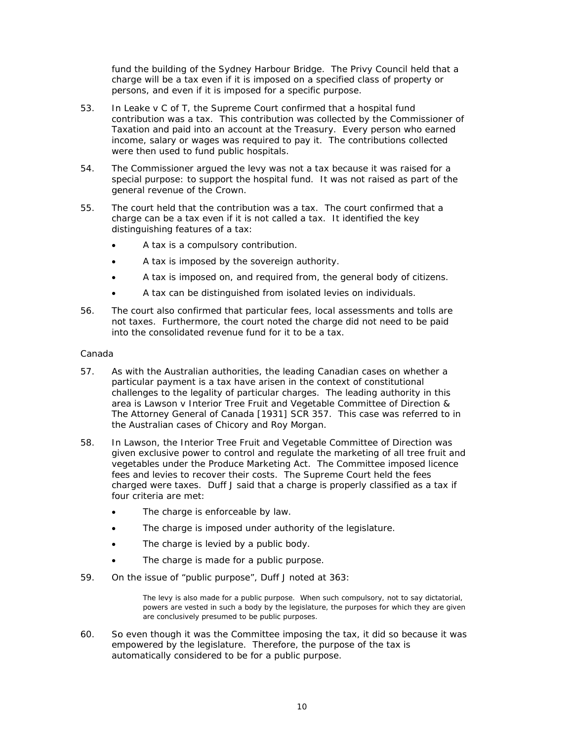fund the building of the Sydney Harbour Bridge. The Privy Council held that a charge will be a tax even if it is imposed on a specified class of property or persons, and even if it is imposed for a specific purpose.

- 53. In Leake  $v C$  of  $T$ , the Supreme Court confirmed that a hospital fund contribution was a tax. This contribution was collected by the Commissioner of Taxation and paid into an account at the Treasury. Every person who earned income, salary or wages was required to pay it. The contributions collected were then used to fund public hospitals.
- 54. The Commissioner argued the levy was not a tax because it was raised for a special purpose: to support the hospital fund. It was not raised as part of the general revenue of the Crown.
- 55. The court held that the contribution was a tax. The court confirmed that a charge can be a tax even if it is not called a tax. It identified the key distinguishing features of a tax:
	- A tax is a compulsory contribution.
	- A tax is imposed by the sovereign authority.
	- A tax is imposed on, and required from, the general body of citizens.
	- A tax can be distinguished from isolated levies on individuals.
- 56. The court also confirmed that particular fees, local assessments and tolls are not taxes. Furthermore, the court noted the charge did not need to be paid into the consolidated revenue fund for it to be a tax.

## Canada

- 57. As with the Australian authorities, the leading Canadian cases on whether a particular payment is a tax have arisen in the context of constitutional challenges to the legality of particular charges. The leading authority in this area is Lawson v Interior Tree Fruit and Vegetable Committee of Direction & The Attorney General of Canada [1931] SCR 357. This case was referred to in the Australian cases of Chicory and Roy Morgan.
- 58. In Lawson, the Interior Tree Fruit and Vegetable Committee of Direction was given exclusive power to control and regulate the marketing of all tree fruit and vegetables under the Produce Marketing Act. The Committee imposed licence fees and levies to recover their costs. The Supreme Court held the fees charged were taxes. Duff J said that a charge is properly classified as a tax if four criteria are met:
	- The charge is enforceable by law.
	- The charge is imposed under authority of the legislature.
	- The charge is levied by a public body.
	- The charge is made for a public purpose.
- 59. On the issue of "public purpose", Duff J noted at 363:

The levy is also made for a public purpose. When such compulsory, not to say dictatorial, powers are vested in such a body by the legislature, the purposes for which they are given are conclusively presumed to be public purposes.

60. So even though it was the Committee imposing the tax, it did so because it was empowered by the legislature. Therefore, the purpose of the tax is automatically considered to be for a public purpose.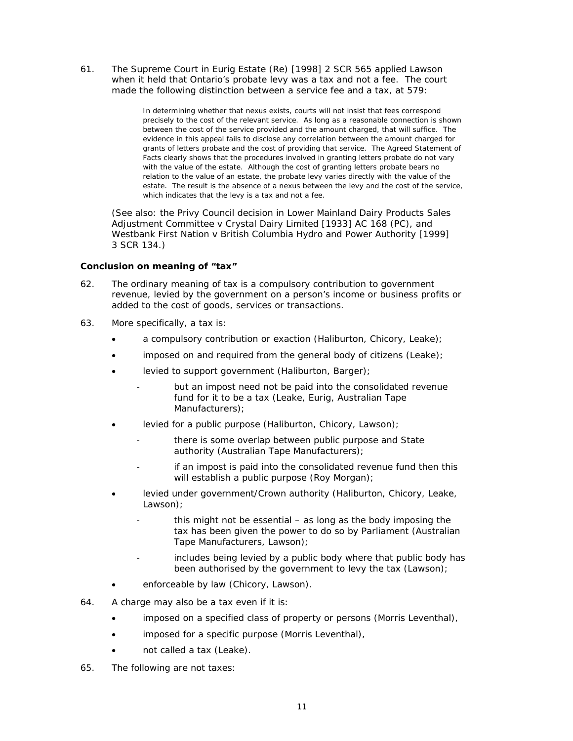$61.$ The Supreme Court in *Eurig Estate (Re)* [1998] 2 SCR 565 applied *Lawson* when it held that Ontario's probate levy was a tax and not a fee. The court made the following distinction between a service fee and a tax, at 579:

> In determining whether that nexus exists, courts will not insist that fees correspond precisely to the cost of the relevant service. As long as a reasonable connection is shown between the cost of the service provided and the amount charged, that will suffice. The evidence in this appeal fails to disclose any correlation between the amount charged for grants of letters probate and the cost of providing that service. The Agreed Statement of Facts clearly shows that the procedures involved in granting letters probate do not vary with the value of the estate. Although the cost of granting letters probate bears no relation to the value of an estate, the probate levy varies directly with the value of the estate. The result is the absence of a nexus between the levy and the cost of the service, which indicates that the levy is a tax and not a fee.

(See also: the Privy Council decision in Lower Mainland Dairy Products Sales Adjustment Committee v Crystal Dairy Limited [1933] AC 168 (PC), and Westbank First Nation v British Columbia Hydro and Power Authority [1999] 3 SCR 134.)

## Conclusion on meaning of "tax"

- 62. The ordinary meaning of tax is a compulsory contribution to government revenue, levied by the government on a person's income or business profits or added to the cost of goods, services or transactions.
- More specifically, a tax is: 63.
	- a compulsory contribution or exaction (Haliburton, Chicory, Leake);
	- imposed on and required from the general body of citizens (Leake);
	- levied to support government (Haliburton, Barger);
		- but an impost need not be paid into the consolidated revenue fund for it to be a tax (Leake, Eurig, Australian Tape Manufacturers);
	- levied for a public purpose (Haliburton, Chicory, Lawson);
		- there is some overlap between public purpose and State authority (Australian Tape Manufacturers);
		- if an impost is paid into the consolidated revenue fund then this will establish a public purpose (Roy Morgan);
	- levied under government/Crown authority (Haliburton, Chicory, Leake,  $Lawson):$ 
		- this might not be essential as long as the body imposing the tax has been given the power to do so by Parliament (Australian Tape Manufacturers, Lawson);
		- includes being levied by a public body where that public body has been authorised by the government to levy the tax (Lawson);
	- enforceable by law (Chicory, Lawson).
- 64. A charge may also be a tax even if it is:
	- imposed on a specified class of property or persons (Morris Leventhal),
	- imposed for a specific purpose (Morris Leventhal),
	- not called a tax (Leake).
- 65. The following are not taxes: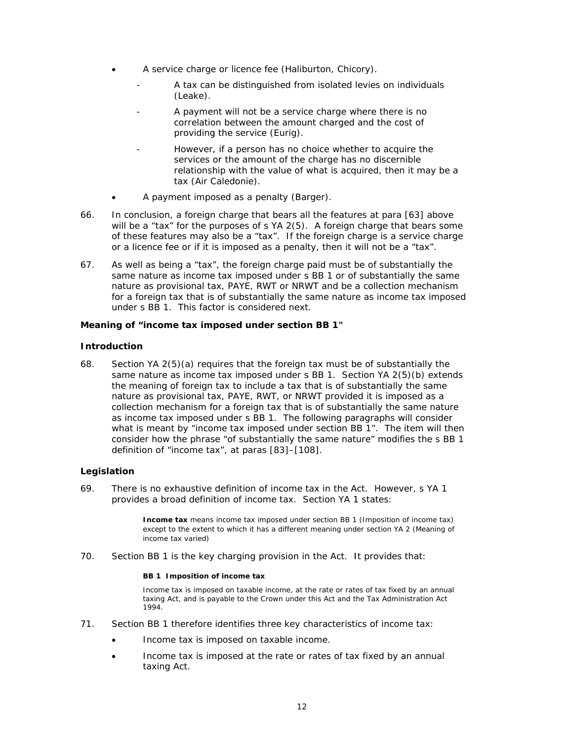- A service charge or licence fee (Haliburton, Chicory).
	- A tax can be distinguished from isolated levies on individuals  $(Leake)$ .
	- A payment will not be a service charge where there is no correlation between the amount charged and the cost of providing the service (Eurig).
	- However, if a person has no choice whether to acquire the services or the amount of the charge has no discernible relationship with the value of what is acquired, then it may be a tax (Air Caledonie).
- A payment imposed as a penalty (Barger).
- 66. In conclusion, a foreign charge that bears all the features at para [63] above will be a "tax" for the purposes of s YA 2(5). A foreign charge that bears some of these features may also be a "tax". If the foreign charge is a service charge or a licence fee or if it is imposed as a penalty, then it will not be a "tax".
- As well as being a "tax", the foreign charge paid must be of substantially the 67. same nature as income tax imposed under s BB 1 or of substantially the same nature as provisional tax, PAYE, RWT or NRWT and be a collection mechanism for a foreign tax that is of substantially the same nature as income tax imposed under s BB 1. This factor is considered next.

## Meaning of "income tax imposed under section BB 1"

## **Introduction**

68. Section YA 2(5)(a) requires that the foreign tax must be of substantially the same nature as income tax imposed under s BB 1. Section YA 2(5)(b) extends the meaning of foreign tax to include a tax that is of substantially the same nature as provisional tax, PAYE, RWT, or NRWT provided it is imposed as a collection mechanism for a foreign tax that is of substantially the same nature as income tax imposed under s BB 1. The following paragraphs will consider what is meant by "income tax imposed under section BB 1". The item will then consider how the phrase "of substantially the same nature" modifies the s BB 1 definition of "income tax", at paras [83]-[108].

## Legislation

69. There is no exhaustive definition of income tax in the Act. However, s YA 1 provides a broad definition of income tax. Section YA 1 states:

> **Income tax** means income tax imposed under section BB 1 (Imposition of income tax) except to the extent to which it has a different meaning under section YA 2 (Meaning of income tax varied)

70. Section BB 1 is the key charging provision in the Act. It provides that:

### BB 1 Imposition of income tax

Income tax is imposed on taxable income, at the rate or rates of tax fixed by an annual taxing Act, and is payable to the Crown under this Act and the Tax Administration Act 1994

- $71.$ Section BB 1 therefore identifies three key characteristics of income tax:
	- Income tax is imposed on taxable income.
	- Income tax is imposed at the rate or rates of tax fixed by an annual taxing Act.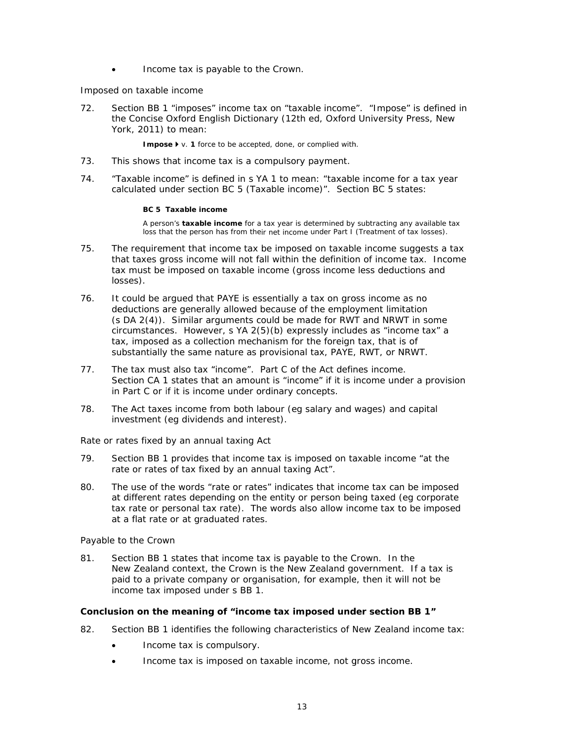Income tax is payable to the Crown.

## Imposed on taxable income

72. Section BB 1 "imposes" income tax on "taxable income". "Impose" is defined in the Concise Oxford English Dictionary (12th ed, Oxford University Press, New York, 2011) to mean:

Impose  $\blacktriangleright$  v. 1 force to be accepted, done, or complied with.

- $73.$ This shows that income tax is a compulsory payment.
- 74 "Taxable income" is defined in s YA 1 to mean: "taxable income for a tax year calculated under section BC 5 (Taxable income)". Section BC 5 states:

## BC 5 Taxable income

A person's taxable income for a tax year is determined by subtracting any available tax loss that the person has from their net income under Part I (Treatment of tax losses).

- 75. The requirement that income tax be imposed on taxable income suggests a tax that taxes gross income will not fall within the definition of income tax. Income tax must be imposed on taxable income (gross income less deductions and losses).
- 76. It could be argued that PAYE is essentially a tax on gross income as no deductions are generally allowed because of the employment limitation (s DA 2(4)). Similar arguments could be made for RWT and NRWT in some circumstances. However, s YA 2(5)(b) expressly includes as "income tax" a tax, imposed as a collection mechanism for the foreign tax, that is of substantially the same nature as provisional tax, PAYE, RWT, or NRWT.
- $77.$ The tax must also tax "income". Part C of the Act defines income. Section CA 1 states that an amount is "income" if it is income under a provision in Part C or if it is income under ordinary concepts.
- 78 The Act taxes income from both labour (eq salary and wages) and capital investment (eg dividends and interest).

## Rate or rates fixed by an annual taxing Act

- 79. Section BB 1 provides that income tax is imposed on taxable income "at the rate or rates of tax fixed by an annual taxing Act".
- 80. The use of the words "rate or rates" indicates that income tax can be imposed at different rates depending on the entity or person being taxed (eg corporate tax rate or personal tax rate). The words also allow income tax to be imposed at a flat rate or at graduated rates.

## Payable to the Crown

 $81.$ Section BB 1 states that income tax is payable to the Crown. In the New Zealand context, the Crown is the New Zealand government. If a tax is paid to a private company or organisation, for example, then it will not be income tax imposed under s BB 1.

## Conclusion on the meaning of "income tax imposed under section BB 1"

- 82. Section BB 1 identifies the following characteristics of New Zealand income tax:
	- Income tax is compulsory.
	- Income tax is imposed on taxable income, not gross income.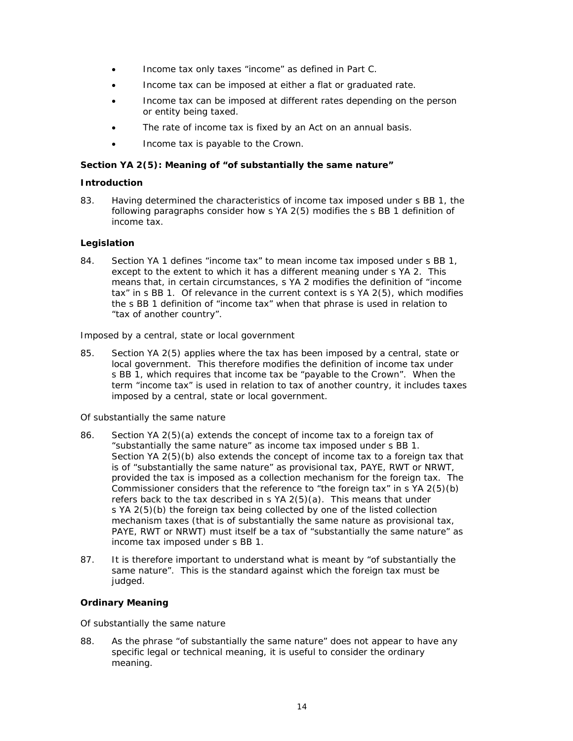- Income tax only taxes "income" as defined in Part C.
- Income tax can be imposed at either a flat or graduated rate.
- Income tax can be imposed at different rates depending on the person or entity being taxed.
- The rate of income tax is fixed by an Act on an annual basis.
- Income tax is payable to the Crown.  $\bullet$

# Section YA 2(5): Meaning of "of substantially the same nature"

# **Introduction**

Having determined the characteristics of income tax imposed under s BB 1, the 83. following paragraphs consider how s YA 2(5) modifies the s BB 1 definition of income tax.

# Legislation

84. Section YA 1 defines "income tax" to mean income tax imposed under s BB 1, except to the extent to which it has a different meaning under s YA 2. This means that, in certain circumstances, s YA 2 modifies the definition of "income tax" in s BB 1. Of relevance in the current context is s YA 2(5), which modifies the s BB 1 definition of "income tax" when that phrase is used in relation to "tax of another country".

## Imposed by a central, state or local government

85. Section YA 2(5) applies where the tax has been imposed by a central, state or local government. This therefore modifies the definition of income tax under s BB 1, which requires that income tax be "payable to the Crown". When the term "income tax" is used in relation to tax of another country, it includes taxes imposed by a central, state or local government.

## Of substantially the same nature

- 86. Section YA 2(5)(a) extends the concept of income tax to a foreign tax of "substantially the same nature" as income tax imposed under s BB 1. Section YA 2(5)(b) also extends the concept of income tax to a foreign tax that is of "substantially the same nature" as provisional tax, PAYE, RWT or NRWT, provided the tax is imposed as a collection mechanism for the foreign tax. The Commissioner considers that the reference to "the foreign tax" in s YA 2(5)(b) refers back to the tax described in s YA 2(5)(a). This means that under s YA 2(5)(b) the foreign tax being collected by one of the listed collection mechanism taxes (that is of substantially the same nature as provisional tax, PAYE, RWT or NRWT) must itself be a tax of "substantially the same nature" as income tax imposed under s BB 1.
- It is therefore important to understand what is meant by "of substantially the 87. same nature". This is the standard against which the foreign tax must be judged.

# **Ordinary Meaning**

## Of substantially the same nature

88. As the phrase "of substantially the same nature" does not appear to have any specific legal or technical meaning, it is useful to consider the ordinary meaning.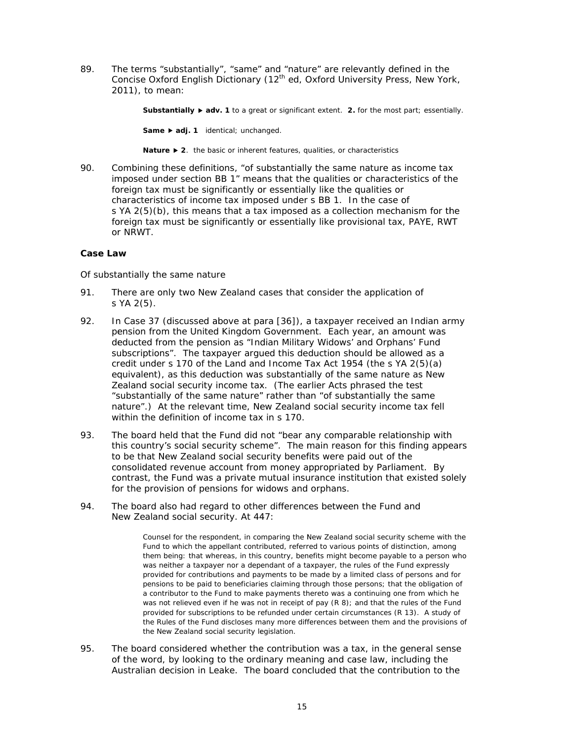89. The terms "substantially", "same" and "nature" are relevantly defined in the Concise Oxford English Dictionary (12<sup>th</sup> ed, Oxford University Press, New York, 2011), to mean:

Substantially  $\blacktriangleright$  adv. 1 to a great or significant extent. 2. for the most part; essentially.

Same > adj. 1 identical; unchanged.

Nature ▶ 2. the basic or inherent features, qualities, or characteristics

90. Combining these definitions, "of substantially the same nature as income tax imposed under section BB 1" means that the qualities or characteristics of the foreign tax must be significantly or essentially like the qualities or characteristics of income tax imposed under s BB 1. In the case of s YA 2(5)(b), this means that a tax imposed as a collection mechanism for the foreign tax must be significantly or essentially like provisional tax, PAYE, RWT or NRWT.

## Case Law

## Of substantially the same nature

- 91 There are only two New Zealand cases that consider the application of s YA 2(5).
- In Case 37 (discussed above at para [36]), a taxpayer received an Indian army 92. pension from the United Kingdom Government. Each year, an amount was deducted from the pension as "Indian Military Widows' and Orphans' Fund subscriptions". The taxpayer argued this deduction should be allowed as a credit under s 170 of the Land and Income Tax Act 1954 (the s  $YA$  2(5)(a) equivalent), as this deduction was substantially of the same nature as New Zealand social security income tax. (The earlier Acts phrased the test "substantially of the same nature" rather than "of substantially the same nature".) At the relevant time, New Zealand social security income tax fell within the definition of income tax in s 170.
- 93. The board held that the Fund did not "bear any comparable relationship with this country's social security scheme". The main reason for this finding appears to be that New Zealand social security benefits were paid out of the consolidated revenue account from money appropriated by Parliament. By contrast, the Fund was a private mutual insurance institution that existed solely for the provision of pensions for widows and orphans.
- 94. The board also had regard to other differences between the Fund and New Zealand social security. At 447:

Counsel for the respondent, in comparing the New Zealand social security scheme with the Fund to which the appellant contributed, referred to various points of distinction, among them being: that whereas, in this country, benefits might become payable to a person who was neither a taxpayer nor a dependant of a taxpayer, the rules of the Fund expressly provided for contributions and payments to be made by a limited class of persons and for pensions to be paid to beneficiaries claiming through those persons; that the obligation of a contributor to the Fund to make payments thereto was a continuing one from which he was not relieved even if he was not in receipt of pay  $(R 8)$ ; and that the rules of the Fund provided for subscriptions to be refunded under certain circumstances (R 13). A study of the Rules of the Fund discloses many more differences between them and the provisions of the New Zealand social security legislation.

95. The board considered whether the contribution was a tax, in the general sense of the word, by looking to the ordinary meaning and case law, including the Australian decision in *Leake*. The board concluded that the contribution to the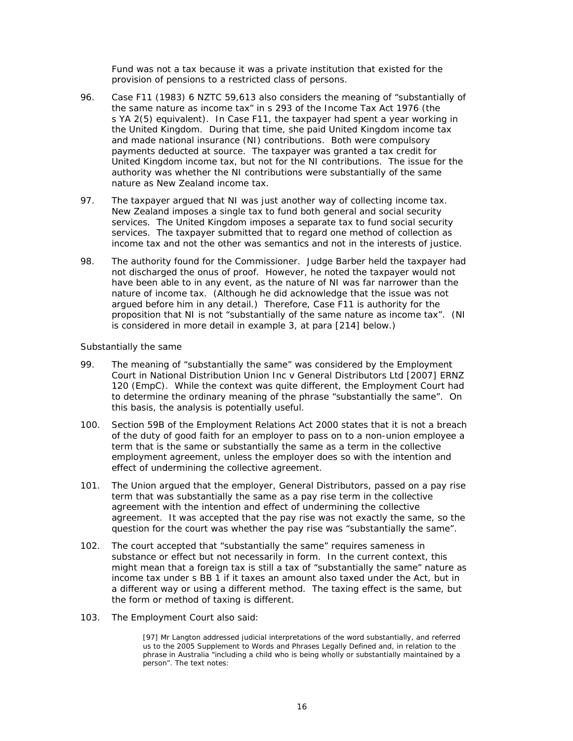Fund was not a tax because it was a private institution that existed for the provision of pensions to a restricted class of persons.

- 96 Case F11 (1983) 6 NZTC 59,613 also considers the meaning of "substantially of the same nature as income tax" in s 293 of the Income Tax Act 1976 (the s YA 2(5) equivalent). In Case F11, the taxpayer had spent a year working in the United Kingdom. During that time, she paid United Kingdom income tax and made national insurance (NI) contributions. Both were compulsory payments deducted at source. The taxpayer was granted a tax credit for United Kingdom income tax, but not for the NI contributions. The issue for the authority was whether the NI contributions were substantially of the same nature as New Zealand income tax.
- 97. The taxpayer argued that NI was just another way of collecting income tax. New Zealand imposes a single tax to fund both general and social security services. The United Kingdom imposes a separate tax to fund social security services. The taxpayer submitted that to regard one method of collection as income tax and not the other was semantics and not in the interests of justice.
- 98. The authority found for the Commissioner. Judge Barber held the taxpayer had not discharged the onus of proof. However, he noted the taxpayer would not have been able to in any event, as the nature of NI was far narrower than the nature of income tax. (Although he did acknowledge that the issue was not arqued before him in any detail.) Therefore, Case F11 is authority for the proposition that NI is not "substantially of the same nature as income tax". (NI is considered in more detail in example 3, at para [214] below.)

## Substantially the same

- 99. The meaning of "substantially the same" was considered by the Employment Court in National Distribution Union Inc v General Distributors Ltd [2007] ERNZ 120 (EmpC). While the context was quite different, the Employment Court had to determine the ordinary meaning of the phrase "substantially the same". On this basis, the analysis is potentially useful.
- $100.$ Section 59B of the Employment Relations Act 2000 states that it is not a breach of the duty of good faith for an employer to pass on to a non-union employee a term that is the same or substantially the same as a term in the collective employment agreement, unless the employer does so with the intention and effect of undermining the collective agreement.
- The Union argued that the employer, General Distributors, passed on a pay rise  $101.$ term that was substantially the same as a pay rise term in the collective agreement with the intention and effect of undermining the collective agreement. It was accepted that the pay rise was not exactly the same, so the question for the court was whether the pay rise was "substantially the same".
- The court accepted that "substantially the same" requires sameness in  $102.$ substance or effect but not necessarily in form. In the current context, this might mean that a foreign tax is still a tax of "substantially the same" nature as income tax under s BB 1 if it taxes an amount also taxed under the Act, but in a different way or using a different method. The taxing effect is the same, but the form or method of taxing is different.
- 103. The Employment Court also said:

[97] Mr Langton addressed judicial interpretations of the word substantially, and referred us to the 2005 Supplement to Words and Phrases Legally Defined and, in relation to the phrase in Australia "including a child who is being wholly or substantially maintained by a person". The text notes: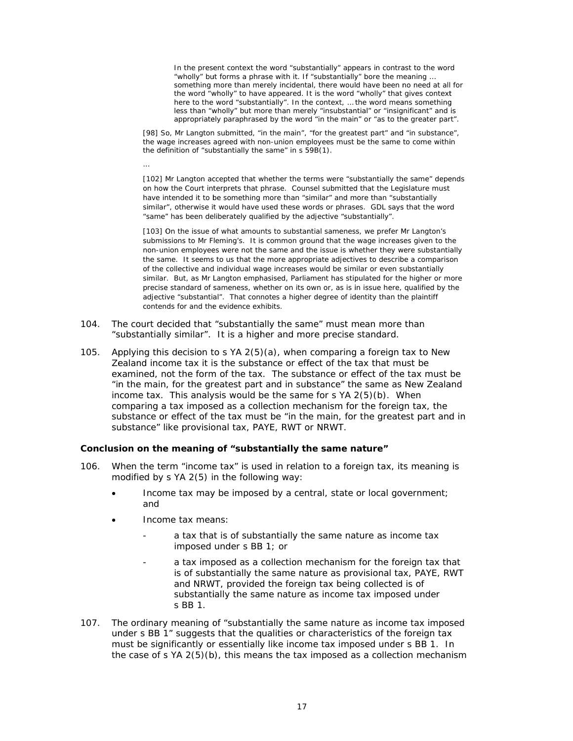In the present context the word "substantially" appears in contrast to the word "wholly" but forms a phrase with it. If "substantially" bore the meaning .. something more than merely incidental, there would have been no need at all for the word "wholly" to have appeared. It is the word "wholly" that gives context here to the word "substantially". In the context, ... the word means something less than "wholly" but more than merely "insubstantial" or "insignificant" and is appropriately paraphrased by the word "in the main" or "as to the greater part".

[98] So, Mr Langton submitted, "in the main", "for the greatest part" and "in substance", the wage increases agreed with non-union employees must be the same to come within the definition of "substantially the same" in s 59B(1).

[102] Mr Langton accepted that whether the terms were "substantially the same" depends on how the Court interprets that phrase. Counsel submitted that the Legislature must have intended it to be something more than "similar" and more than "substantially similar", otherwise it would have used these words or phrases. GDL says that the word "same" has been deliberately qualified by the adjective "substantially".

[103] On the issue of what amounts to substantial sameness, we prefer Mr Langton's submissions to Mr Fleming's. It is common ground that the wage increases given to the non-union employees were not the same and the issue is whether they were substantially the same. It seems to us that the more appropriate adjectives to describe a comparison of the collective and individual wage increases would be similar or even substantially similar. But, as Mr Langton emphasised, Parliament has stipulated for the higher or more precise standard of sameness, whether on its own or, as is in issue here, qualified by the adjective "substantial". That connotes a higher degree of identity than the plaintiff contends for and the evidence exhibits.

- The court decided that "substantially the same" must mean more than  $104.$ "substantially similar". It is a higher and more precise standard.
- $105.$ Applying this decision to s  $YA$   $2(5)(a)$ , when comparing a foreign tax to New Zealand income tax it is the substance or effect of the tax that must be examined, not the form of the tax. The substance or effect of the tax must be "in the main, for the greatest part and in substance" the same as New Zealand income tax. This analysis would be the same for s YA 2(5)(b). When comparing a tax imposed as a collection mechanism for the foreign tax, the substance or effect of the tax must be "in the main, for the greatest part and in substance" like provisional tax, PAYE, RWT or NRWT.

## Conclusion on the meaning of "substantially the same nature"

- 106. When the term "income tax" is used in relation to a foreign tax, its meaning is modified by s YA 2(5) in the following way:
	- Income tax may be imposed by a central, state or local government; and
	- Income tax means:
		- a tax that is of substantially the same nature as income tax imposed under s BB 1; or
		- a tax imposed as a collection mechanism for the foreign tax that is of substantially the same nature as provisional tax, PAYE, RWT and NRWT, provided the foreign tax being collected is of substantially the same nature as income tax imposed under s BB 1.
- $107.$ The ordinary meaning of "substantially the same nature as income tax imposed under s BB 1" suggests that the qualities or characteristics of the foreign tax must be significantly or essentially like income tax imposed under s BB 1. In the case of s  $YA$   $2(5)(b)$ , this means the tax imposed as a collection mechanism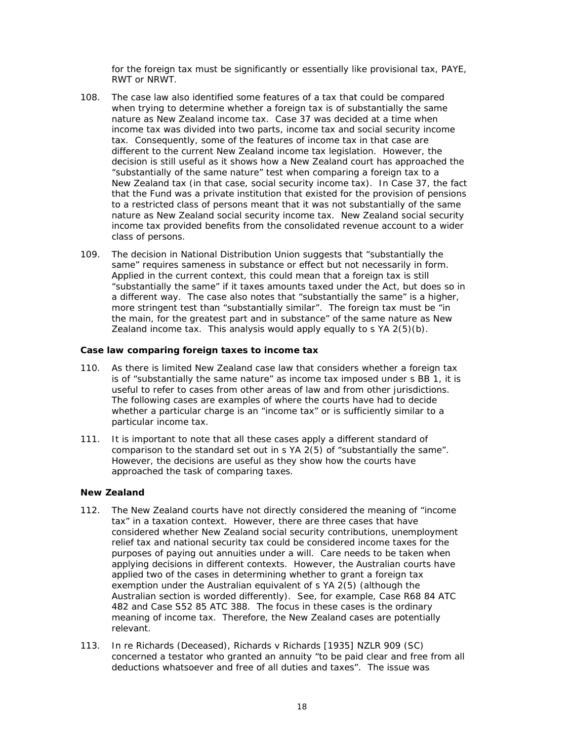for the foreign tax must be significantly or essentially like provisional tax, PAYE, RWT or NRWT.

- $108$ The case law also identified some features of a tax that could be compared when trying to determine whether a foreign tax is of substantially the same nature as New Zealand income tax. Case 37 was decided at a time when income tax was divided into two parts, income tax and social security income tax. Consequently, some of the features of income tax in that case are different to the current New Zealand income tax legislation. However, the decision is still useful as it shows how a New Zealand court has approached the "substantially of the same nature" test when comparing a foreign tax to a New Zealand tax (in that case, social security income tax). In Case 37, the fact that the Fund was a private institution that existed for the provision of pensions to a restricted class of persons meant that it was not substantially of the same nature as New Zealand social security income tax. New Zealand social security income tax provided benefits from the consolidated revenue account to a wider class of persons.
- $109.$ The decision in National Distribution Union suggests that "substantially the same" requires sameness in substance or effect but not necessarily in form. Applied in the current context, this could mean that a foreign tax is still "substantially the same" if it taxes amounts taxed under the Act, but does so in a different way. The case also notes that "substantially the same" is a higher, more stringent test than "substantially similar". The foreign tax must be "in the main, for the greatest part and in substance" of the same nature as New Zealand income tax. This analysis would apply equally to s YA 2(5)(b).

## Case law comparing foreign taxes to income tax

- As there is limited New Zealand case law that considers whether a foreign tax  $110.$ is of "substantially the same nature" as income tax imposed under s BB 1, it is useful to refer to cases from other areas of law and from other jurisdictions. The following cases are examples of where the courts have had to decide whether a particular charge is an "income tax" or is sufficiently similar to a particular income tax.
- $111.$ It is important to note that all these cases apply a different standard of comparison to the standard set out in s YA 2(5) of "substantially the same". However, the decisions are useful as they show how the courts have approached the task of comparing taxes.

## **New Zealand**

- 112. The New Zealand courts have not directly considered the meaning of "income" tax" in a taxation context. However, there are three cases that have considered whether New Zealand social security contributions, unemployment relief tax and national security tax could be considered income taxes for the purposes of paying out annuities under a will. Care needs to be taken when applying decisions in different contexts. However, the Australian courts have applied two of the cases in determining whether to grant a foreign tax exemption under the Australian equivalent of s YA 2(5) (although the Australian section is worded differently). See, for example, Case R68 84 ATC 482 and Case S52 85 ATC 388. The focus in these cases is the ordinary meaning of income tax. Therefore, the New Zealand cases are potentially relevant.
- In re Richards (Deceased), Richards v Richards [1935] NZLR 909 (SC)  $113.$ concerned a testator who granted an annuity "to be paid clear and free from all deductions whatsoever and free of all duties and taxes". The issue was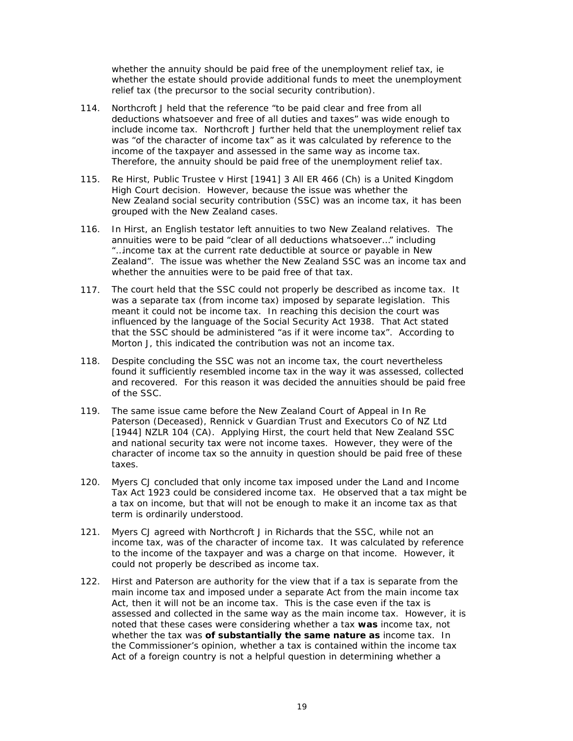whether the annuity should be paid free of the unemployment relief tax, ie whether the estate should provide additional funds to meet the unemployment relief tax (the precursor to the social security contribution).

- $114.$ Northcroft J held that the reference "to be paid clear and free from all deductions whatsoever and free of all duties and taxes" was wide enough to include income tax. Northcroft J further held that the unemployment relief tax was "of the character of income tax" as it was calculated by reference to the income of the taxpayer and assessed in the same way as income tax. Therefore, the annuity should be paid free of the unemployment relief tax.
- Re Hirst, Public Trustee v Hirst [1941] 3 All ER 466 (Ch) is a United Kingdom  $115.$ High Court decision. However, because the issue was whether the New Zealand social security contribution (SSC) was an income tax, it has been grouped with the New Zealand cases.
- In Hirst, an English testator left annuities to two New Zealand relatives. The  $116.$ annuities were to be paid "clear of all deductions whatsoever..." including "...income tax at the current rate deductible at source or payable in New Zealand". The issue was whether the New Zealand SSC was an income tax and whether the annuities were to be paid free of that tax.
- The court held that the SSC could not properly be described as income tax. It  $117.$ was a separate tax (from income tax) imposed by separate legislation. This meant it could not be income tax. In reaching this decision the court was influenced by the language of the Social Security Act 1938. That Act stated that the SSC should be administered "as if it were income tax". According to Morton J, this indicated the contribution was not an income tax.
- $118.$ Despite concluding the SSC was not an income tax, the court nevertheless found it sufficiently resembled income tax in the way it was assessed, collected and recovered. For this reason it was decided the annuities should be paid free of the SSC.
- $119.$ The same issue came before the New Zealand Court of Appeal in In Re Paterson (Deceased), Rennick v Guardian Trust and Executors Co of NZ Ltd [1944] NZLR 104 (CA). Applying Hirst, the court held that New Zealand SSC and national security tax were not income taxes. However, they were of the character of income tax so the annuity in question should be paid free of these taxes.
- 120. Myers CJ concluded that only income tax imposed under the Land and Income Tax Act 1923 could be considered income tax. He observed that a tax might be a tax on income, but that will not be enough to make it an income tax as that term is ordinarily understood.
- Myers CJ agreed with Northcroft J in Richards that the SSC, while not an  $121.$ income tax, was of the character of income tax. It was calculated by reference to the income of the taxpayer and was a charge on that income. However, it could not properly be described as income tax.
- 122. Hirst and Paterson are authority for the view that if a tax is separate from the main income tax and imposed under a separate Act from the main income tax Act, then it will not be an income tax. This is the case even if the tax is assessed and collected in the same way as the main income tax. However, it is noted that these cases were considering whether a tax was income tax, not whether the tax was of substantially the same nature as income tax. In the Commissioner's opinion, whether a tax is contained within the income tax Act of a foreign country is not a helpful question in determining whether a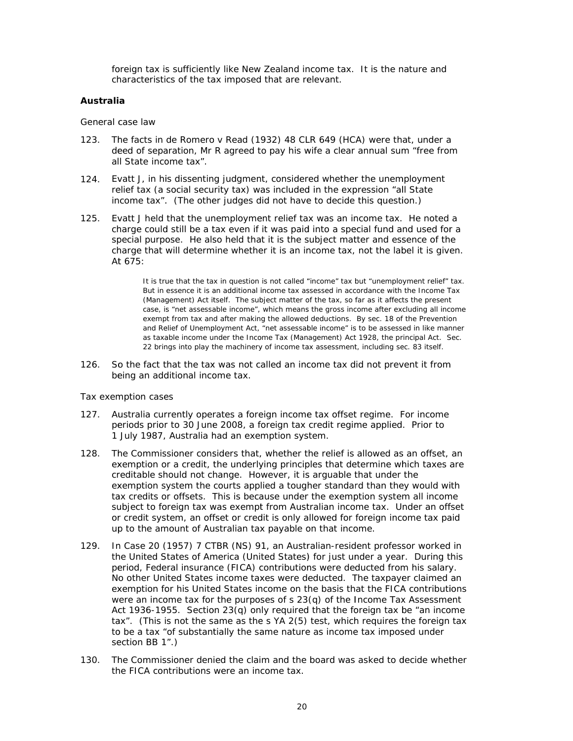foreign tax is sufficiently like New Zealand income tax. It is the nature and characteristics of the tax imposed that are relevant.

# **Australia**

## General case law

- 123. The facts in de Romero v Read (1932) 48 CLR 649 (HCA) were that, under a deed of separation, Mr R agreed to pay his wife a clear annual sum "free from all State income tax".
- $124.$ Evatt J, in his dissenting judgment, considered whether the unemployment relief tax (a social security tax) was included in the expression "all State income tax". (The other judges did not have to decide this question.)
- Evatt J held that the unemployment relief tax was an income tax. He noted a  $125.$ charge could still be a tax even if it was paid into a special fund and used for a special purpose. He also held that it is the subject matter and essence of the charge that will determine whether it is an income tax, not the label it is given. At 675:

It is true that the tax in question is not called "income" tax but "unemployment relief" tax. But in essence it is an additional income tax assessed in accordance with the Income Tax (Management) Act itself. The subject matter of the tax, so far as it affects the present case, is "net assessable income", which means the gross income after excluding all income exempt from tax and after making the allowed deductions. By sec. 18 of the Prevention and Relief of Unemployment Act, "net assessable income" is to be assessed in like manner as taxable income under the Income Tax (Management) Act 1928, the principal Act. Sec. 22 brings into play the machinery of income tax assessment, including sec. 83 itself.

 $126.$ So the fact that the tax was not called an income tax did not prevent it from being an additional income tax.

## Tax exemption cases

- $127.$ Australia currently operates a foreign income tax offset regime. For income periods prior to 30 June 2008, a foreign tax credit regime applied. Prior to 1 July 1987, Australia had an exemption system.
- $128.$ The Commissioner considers that, whether the relief is allowed as an offset, an exemption or a credit, the underlying principles that determine which taxes are creditable should not change. However, it is arguable that under the exemption system the courts applied a tougher standard than they would with tax credits or offsets. This is because under the exemption system all income subject to foreign tax was exempt from Australian income tax. Under an offset or credit system, an offset or credit is only allowed for foreign income tax paid up to the amount of Australian tax payable on that income.
- In Case 20 (1957) 7 CTBR (NS) 91, an Australian-resident professor worked in  $129.$ the United States of America (United States) for just under a year. During this period, Federal insurance (FICA) contributions were deducted from his salary. No other United States income taxes were deducted. The taxpayer claimed an exemption for his United States income on the basis that the FICA contributions were an income tax for the purposes of  $s$  23(q) of the Income Tax Assessment Act 1936-1955. Section 23(q) only required that the foreign tax be "an income tax". (This is not the same as the s YA 2(5) test, which requires the foreign tax to be a tax "of substantially the same nature as income tax imposed under section BB 1".)
- The Commissioner denied the claim and the board was asked to decide whether  $130.$ the FICA contributions were an income tax.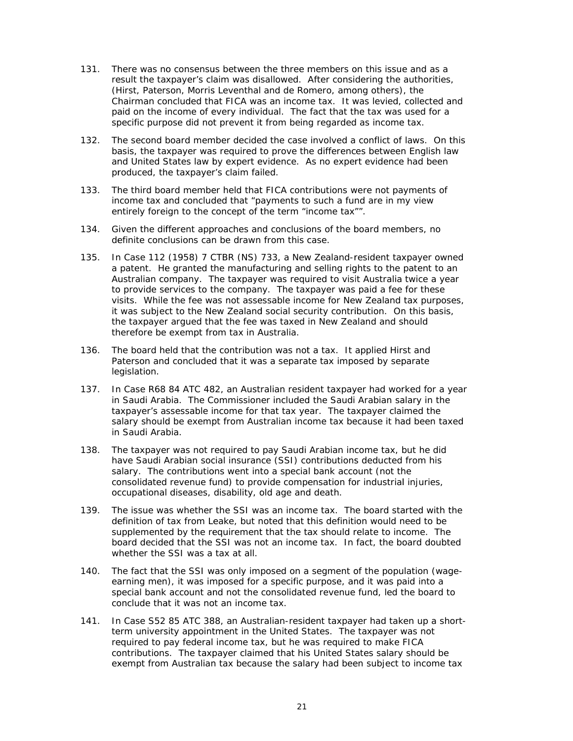- $131.$ There was no consensus between the three members on this issue and as a result the taxpayer's claim was disallowed. After considering the authorities, (Hirst, Paterson, Morris Leventhal and de Romero, among others), the Chairman concluded that FICA was an income tax. It was levied, collected and paid on the income of every individual. The fact that the tax was used for a specific purpose did not prevent it from being regarded as income tax.
- The second board member decided the case involved a conflict of laws. On this  $132.$ basis, the taxpayer was required to prove the differences between English law and United States law by expert evidence. As no expert evidence had been produced, the taxpayer's claim failed.
- The third board member held that FICA contributions were not payments of  $133.$ income tax and concluded that "payments to such a fund are in my view entirely foreign to the concept of the term "income tax"".
- Given the different approaches and conclusions of the board members, no 134. definite conclusions can be drawn from this case.
- $135.$ In Case 112 (1958) 7 CTBR (NS) 733, a New Zealand-resident taxpayer owned a patent. He granted the manufacturing and selling rights to the patent to an Australian company. The taxpayer was required to visit Australia twice a year to provide services to the company. The taxpayer was paid a fee for these visits. While the fee was not assessable income for New Zealand tax purposes, it was subject to the New Zealand social security contribution. On this basis, the taxpayer argued that the fee was taxed in New Zealand and should therefore be exempt from tax in Australia.
- 136. The board held that the contribution was not a tax. It applied *Hirst* and Paterson and concluded that it was a separate tax imposed by separate legislation.
- In Case R68 84 ATC 482, an Australian resident taxpayer had worked for a year  $137.$ in Saudi Arabia. The Commissioner included the Saudi Arabian salary in the taxpayer's assessable income for that tax year. The taxpayer claimed the salary should be exempt from Australian income tax because it had been taxed in Saudi Arabia.
- The taxpayer was not required to pay Saudi Arabian income tax, but he did  $138.$ have Saudi Arabian social insurance (SSI) contributions deducted from his salary. The contributions went into a special bank account (not the consolidated revenue fund) to provide compensation for industrial injuries, occupational diseases, disability, old age and death.
- 139. The issue was whether the SSI was an income tax. The board started with the definition of tax from Leake, but noted that this definition would need to be supplemented by the requirement that the tax should relate to income. The board decided that the SSI was not an income tax. In fact, the board doubted whether the SSI was a tax at all.
- 140. The fact that the SSI was only imposed on a segment of the population (wageearning men), it was imposed for a specific purpose, and it was paid into a special bank account and not the consolidated revenue fund, led the board to conclude that it was not an income tax.
- $141.$ In Case S52 85 ATC 388, an Australian-resident taxpayer had taken up a shortterm university appointment in the United States. The taxpayer was not required to pay federal income tax, but he was required to make FICA contributions. The taxpayer claimed that his United States salary should be exempt from Australian tax because the salary had been subject to income tax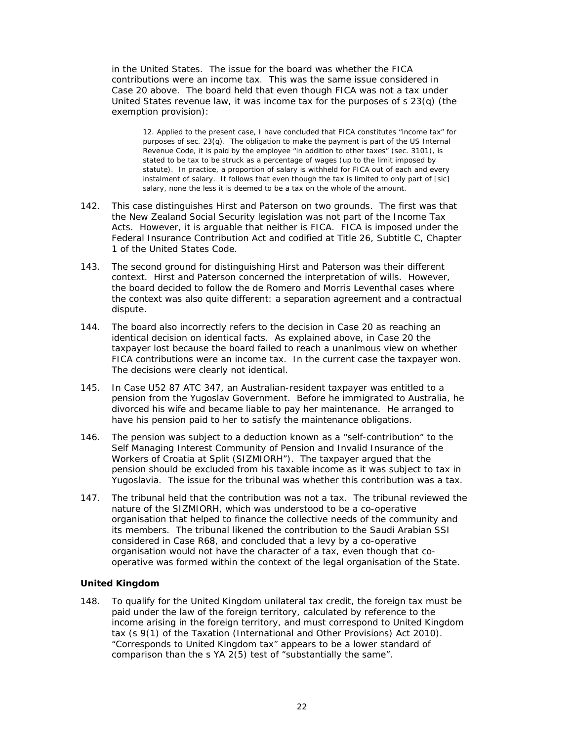in the United States. The issue for the board was whether the FICA contributions were an income tax. This was the same issue considered in Case 20 above. The board held that even though FICA was not a tax under United States revenue law, it was income tax for the purposes of  $s$  23(q) (the exemption provision):

12. Applied to the present case, I have concluded that FICA constitutes "income tax" for purposes of sec. 23(q). The obligation to make the payment is part of the US Internal Revenue Code, it is paid by the employee "in addition to other taxes" (sec. 3101), is stated to be tax to be struck as a percentage of wages (up to the limit imposed by statute). In practice, a proportion of salary is withheld for FICA out of each and every instalment of salary. It follows that even though the tax is limited to only part of [sic] salary, none the less it is deemed to be a tax on the whole of the amount.

- 142. This case distinguishes Hirst and Paterson on two grounds. The first was that the New Zealand Social Security legislation was not part of the Income Tax Acts. However, it is arguable that neither is FICA. FICA is imposed under the Federal Insurance Contribution Act and codified at Title 26, Subtitle C, Chapter 1 of the United States Code.
- 143. The second ground for distinguishing *Hirst* and *Paterson* was their different context. Hirst and Paterson concerned the interpretation of wills. However, the board decided to follow the de Romero and Morris Leventhal cases where the context was also quite different: a separation agreement and a contractual dispute.
- 144. The board also incorrectly refers to the decision in Case 20 as reaching an identical decision on identical facts. As explained above, in Case 20 the taxpayer lost because the board failed to reach a unanimous view on whether FICA contributions were an income tax. In the current case the taxpayer won. The decisions were clearly not identical.
- $145.$ In Case U52 87 ATC 347, an Australian-resident taxpayer was entitled to a pension from the Yugoslay Government. Before he immigrated to Australia, he divorced his wife and became liable to pay her maintenance. He arranged to have his pension paid to her to satisfy the maintenance obligations.
- The pension was subject to a deduction known as a "self-contribution" to the 146. Self Managing Interest Community of Pension and Invalid Insurance of the Workers of Croatia at Split (SIZMIORH"). The taxpayer argued that the pension should be excluded from his taxable income as it was subject to tax in Yugoslavia. The issue for the tribunal was whether this contribution was a tax.
- 147. The tribunal held that the contribution was not a tax. The tribunal reviewed the nature of the SIZMIORH, which was understood to be a co-operative organisation that helped to finance the collective needs of the community and its members. The tribunal likened the contribution to the Saudi Arabian SSI considered in Case R68, and concluded that a levy by a co-operative organisation would not have the character of a tax, even though that cooperative was formed within the context of the legal organisation of the State.

## **United Kingdom**

To qualify for the United Kingdom unilateral tax credit, the foreign tax must be 148. paid under the law of the foreign territory, calculated by reference to the income arising in the foreign territory, and must correspond to United Kingdom tax (s 9(1) of the Taxation (International and Other Provisions) Act 2010). "Corresponds to United Kingdom tax" appears to be a lower standard of comparison than the s YA 2(5) test of "substantially the same".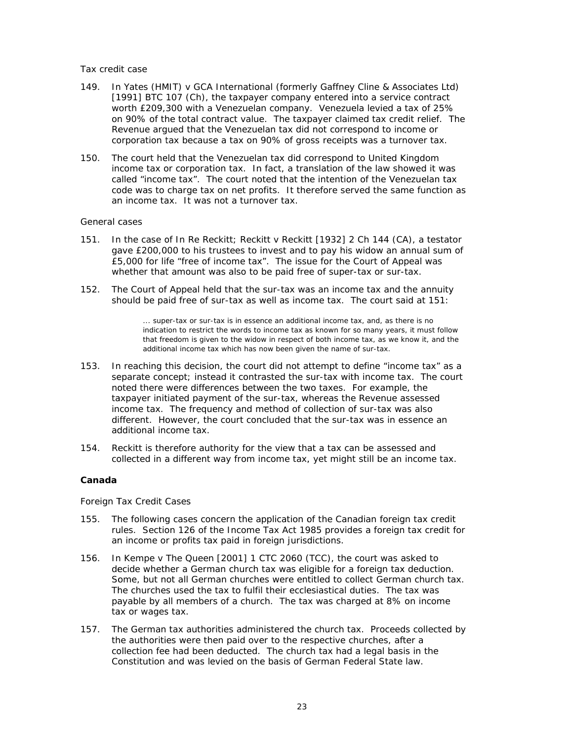## Tax credit case

- In Yates (HMIT) v GCA International (formerly Gaffney Cline & Associates Ltd) 149. [1991] BTC 107 (Ch), the taxpayer company entered into a service contract worth £209,300 with a Venezuelan company. Venezuela levied a tax of 25% on 90% of the total contract value. The taxpayer claimed tax credit relief. The Revenue argued that the Venezuelan tax did not correspond to income or corporation tax because a tax on 90% of gross receipts was a turnover tax.
- $150.$ The court held that the Venezuelan tax did correspond to United Kingdom income tax or corporation tax. In fact, a translation of the law showed it was called "income tax". The court noted that the intention of the Venezuelan tax code was to charge tax on net profits. It therefore served the same function as an income tax. It was not a turnover tax.

## General cases

- 151. In the case of In Re Reckitt; Reckitt v Reckitt [1932] 2 Ch 144 (CA), a testator gave £200,000 to his trustees to invest and to pay his widow an annual sum of £5,000 for life "free of income tax". The issue for the Court of Appeal was whether that amount was also to be paid free of super-tax or sur-tax.
- The Court of Appeal held that the sur-tax was an income tax and the annuity  $152.$ should be paid free of sur-tax as well as income tax. The court said at 151:

... super-tax or sur-tax is in essence an additional income tax, and, as there is no indication to restrict the words to income tax as known for so many years, it must follow that freedom is given to the widow in respect of both income tax, as we know it, and the additional income tax which has now been given the name of sur-tax.

- $153.$ In reaching this decision, the court did not attempt to define "income tax" as a separate concept; instead it contrasted the sur-tax with income tax. The court noted there were differences between the two taxes. For example, the taxpayer initiated payment of the sur-tax, whereas the Revenue assessed income tax. The frequency and method of collection of sur-tax was also different. However, the court concluded that the sur-tax was in essence an additional income tax.
- $154.$ Reckitt is therefore authority for the view that a tax can be assessed and collected in a different way from income tax, yet might still be an income tax.

## Canada

## Foreign Tax Credit Cases

- 155. The following cases concern the application of the Canadian foreign tax credit rules. Section 126 of the Income Tax Act 1985 provides a foreign tax credit for an income or profits tax paid in foreign jurisdictions.
- In Kempe v The Queen [2001] 1 CTC 2060 (TCC), the court was asked to  $156.$ decide whether a German church tax was eligible for a foreign tax deduction. Some, but not all German churches were entitled to collect German church tax. The churches used the tax to fulfil their ecclesiastical duties. The tax was payable by all members of a church. The tax was charged at 8% on income tax or wages tax.
- $157.$ The German tax authorities administered the church tax. Proceeds collected by the authorities were then paid over to the respective churches, after a collection fee had been deducted. The church tax had a legal basis in the Constitution and was levied on the basis of German Federal State law.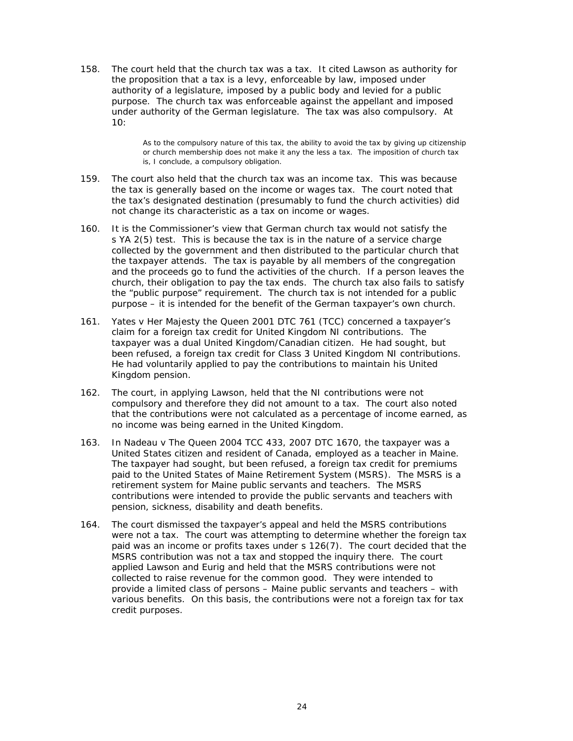The court held that the church tax was a tax. It cited Lawson as authority for  $158.$ the proposition that a tax is a levy, enforceable by law, imposed under authority of a legislature, imposed by a public body and levied for a public purpose. The church tax was enforceable against the appellant and imposed under authority of the German legislature. The tax was also compulsory. At  $10:$ 

> As to the compulsory nature of this tax, the ability to avoid the tax by giving up citizenship or church membership does not make it any the less a tax. The imposition of church tax is, I conclude, a compulsory obligation.

- 159. The court also held that the church tax was an income tax. This was because the tax is generally based on the income or wages tax. The court noted that the tax's designated destination (presumably to fund the church activities) did not change its characteristic as a tax on income or wages.
- $160.$ It is the Commissioner's view that German church tax would not satisfy the s YA 2(5) test. This is because the tax is in the nature of a service charge collected by the government and then distributed to the particular church that the taxpayer attends. The tax is payable by all members of the congregation and the proceeds go to fund the activities of the church. If a person leaves the church, their obligation to pay the tax ends. The church tax also fails to satisfy the "public purpose" requirement. The church tax is not intended for a public purpose – it is intended for the benefit of the German taxpayer's own church.
- 161. Yates v Her Majesty the Queen 2001 DTC 761 (TCC) concerned a taxpayer's claim for a foreign tax credit for United Kingdom NI contributions. The taxpayer was a dual United Kingdom/Canadian citizen. He had sought, but been refused, a foreign tax credit for Class 3 United Kingdom NI contributions. He had voluntarily applied to pay the contributions to maintain his United Kingdom pension.
- $162.$ The court, in applying Lawson, held that the NI contributions were not compulsory and therefore they did not amount to a tax. The court also noted that the contributions were not calculated as a percentage of income earned, as no income was being earned in the United Kingdom.
- In Nadeau v The Queen 2004 TCC 433, 2007 DTC 1670, the taxpayer was a  $163.$ United States citizen and resident of Canada, employed as a teacher in Maine. The taxpayer had sought, but been refused, a foreign tax credit for premiums paid to the United States of Maine Retirement System (MSRS). The MSRS is a retirement system for Maine public servants and teachers. The MSRS contributions were intended to provide the public servants and teachers with pension, sickness, disability and death benefits.
- $164.$ The court dismissed the taxpayer's appeal and held the MSRS contributions were not a tax. The court was attempting to determine whether the foreign tax paid was an income or profits taxes under s 126(7). The court decided that the MSRS contribution was not a tax and stopped the inquiry there. The court applied Lawson and Eurig and held that the MSRS contributions were not collected to raise revenue for the common good. They were intended to provide a limited class of persons - Maine public servants and teachers - with various benefits. On this basis, the contributions were not a foreign tax for tax credit purposes.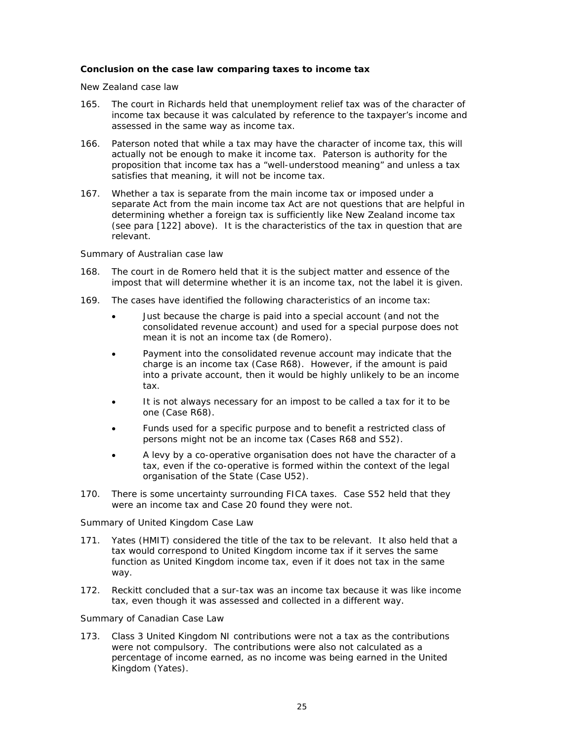## Conclusion on the case law comparing taxes to income tax

New Zealand case law

- 165. The court in *Richards* held that unemployment relief tax was of the character of income tax because it was calculated by reference to the taxpayer's income and assessed in the same way as income tax.
- 166. Paterson noted that while a tax may have the character of income tax, this will actually not be enough to make it income tax. Paterson is authority for the proposition that income tax has a "well-understood meaning" and unless a tax satisfies that meaning, it will not be income tax.
- $167.$ Whether a tax is separate from the main income tax or imposed under a separate Act from the main income tax Act are not questions that are helpful in determining whether a foreign tax is sufficiently like New Zealand income tax (see para [122] above). It is the characteristics of the tax in question that are relevant.

## Summary of Australian case law

- The court in de Romero held that it is the subject matter and essence of the  $168.$ impost that will determine whether it is an income tax, not the label it is given.
- 169. The cases have identified the following characteristics of an income tax:
	- Just because the charge is paid into a special account (and not the  $\bullet$ consolidated revenue account) and used for a special purpose does not mean it is not an income tax (de Romero).
	- Payment into the consolidated revenue account may indicate that the charge is an income tax (Case R68). However, if the amount is paid into a private account, then it would be highly unlikely to be an income tax.
	- It is not always necessary for an impost to be called a tax for it to be one (Case R68).
	- Funds used for a specific purpose and to benefit a restricted class of persons might not be an income tax (Cases R68 and S52).
	- A levy by a co-operative organisation does not have the character of a tax, even if the co-operative is formed within the context of the legal organisation of the State (Case U52).
- 170. There is some uncertainty surrounding FICA taxes. Case S52 held that they were an income tax and Case 20 found they were not.

## Summary of United Kingdom Case Law

- $171.$ Yates (HMIT) considered the title of the tax to be relevant. It also held that a tax would correspond to United Kingdom income tax if it serves the same function as United Kingdom income tax, even if it does not tax in the same way.
- $172.$ Reckitt concluded that a sur-tax was an income tax because it was like income tax, even though it was assessed and collected in a different way.

## Summary of Canadian Case Law

173. Class 3 United Kingdom NI contributions were not a tax as the contributions were not compulsory. The contributions were also not calculated as a percentage of income earned, as no income was being earned in the United Kingdom (Yates).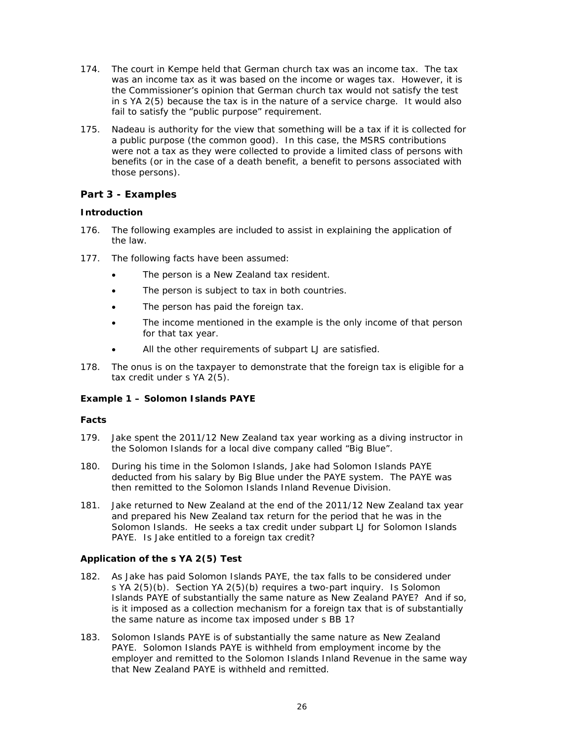- 174. The court in *Kempe* held that German church tax was an income tax. The tax was an income tax as it was based on the income or wages tax. However, it is the Commissioner's opinion that German church tax would not satisfy the test in s YA 2(5) because the tax is in the nature of a service charge. It would also fail to satisfy the "public purpose" requirement.
- 175. Nadeau is authority for the view that something will be a tax if it is collected for a public purpose (the common good). In this case, the MSRS contributions were not a tax as they were collected to provide a limited class of persons with benefits (or in the case of a death benefit, a benefit to persons associated with those persons).

# **Part 3 - Examples**

# **lntroduction**

- $176.$ the law. he following examples are included to assist in explaining the application of
- $177.$ he following facts have been assumed:
	- $\bullet$ The person is a New Zealand tax resident.
	- $\bullet$ The person is subject to tax in both countries.
	- $\bullet$ The p person has paid the fo reign tax.
- $\bullet$ The income mentioned in the example is the only income of that pers for that tax year. <sub>of</sub><br>son
	- $\bullet$ All the other requirements of subpart LJ are satisfied.
- $178.$ tax credit under s YA 2(5). he onus is on the taxpayer to demonstrate that the foreign tax is eligible for a

# **Example 1 - Solomon Islands PAYE**

## *Facts*

- 179. the Solomon Islands for a local dive company called "Big Blue". ake spent the 2011/12 New Zealand tax year working as a diving instructor in
- $180.$ deducted from his salary by Big Blue under the PAYE system. The PAYE was then remitted to the Solomon Islands Inland Revenue Division. uring his time in the Solomon Islands, Jake had Solomon Islands PAYE leducted from his salary by Big Blue under the PAYE system. The PAYE was<br>hen remitted to the Solomon Islands Inland Revenue Division.<br>ake returned to New Zealand at the end of the 2011/12 New Zealand tax year
- $181.$ and prepared his New Zealand tax return for the period that he was in the Solomon Islands. He seeks a tax credit under subpart LJ for Solomon Islands PAYE. Is Jake entitled to a foreign tax credit?

## *Applicat tion of the e s YA 2(5) ) Test*

- $182.$ s YA 2(5)(b). Section YA 2(5)(b) requires a two-part inquiry. Is Solomon As Jake has paid Solomon Islands PAYE, the tax falls to be considered under<br>s YA 2(5)(b). Section YA 2(5)(b) requires a two-part inquiry. Is Solomon<br>Islands PAYE of substantially the same nature as New Zealand PAYE? And is it imposed as a collection mechanism for a foreign tax that is of substantially the same nature as income tax imposed under s BB 1? s Jake has paid Solomon Islands PAYE, the tax falls to be considered under
- $183.$ PAYE. Solomon Islands PAYE is withheld from employment income by the employer and remitted to the Solomon Islands Inland Revenue in the same way that New Zealand PAYE is withheld and remitted. olomon Islands PAYE is of substantially the same nature as New Zealand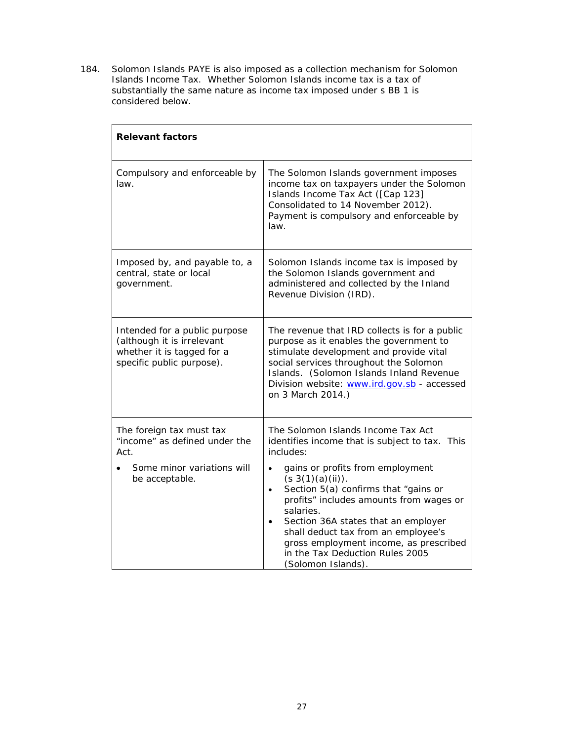184. Solomon Islands PAYE is also imposed as a collection mechanism for Solomon<br>Islands Income Tax. Whether Solomon Islands income tax is a tax of substantially the same nature as income tax imposed under s BB 1 is considered below.

| <b>Relevant factors</b>                                                                                                |                                                                                                                                                                                                                                                                                                                                                                                                                                                            |  |
|------------------------------------------------------------------------------------------------------------------------|------------------------------------------------------------------------------------------------------------------------------------------------------------------------------------------------------------------------------------------------------------------------------------------------------------------------------------------------------------------------------------------------------------------------------------------------------------|--|
| Compulsory and enforceable by<br>law.                                                                                  | The Solomon Islands government imposes<br>income tax on taxpayers under the Solomon<br>Islands Income Tax Act ([Cap 123]<br>Consolidated to 14 November 2012).<br>Payment is compulsory and enforceable by<br>law.                                                                                                                                                                                                                                         |  |
| Imposed by, and payable to, a<br>central, state or local<br>government.                                                | Solomon Islands income tax is imposed by<br>the Solomon Islands government and<br>administered and collected by the Inland<br>Revenue Division (IRD).                                                                                                                                                                                                                                                                                                      |  |
| Intended for a public purpose<br>(although it is irrelevant<br>whether it is tagged for a<br>specific public purpose). | The revenue that IRD collects is for a public<br>purpose as it enables the government to<br>stimulate development and provide vital<br>social services throughout the Solomon<br>Islands. (Solomon Islands Inland Revenue<br>Division website: www.ird.gov.sb - accessed<br>on 3 March 2014.)                                                                                                                                                              |  |
| The foreign tax must tax<br>"income" as defined under the<br>Act.<br>Some minor variations will<br>be acceptable.      | The Solomon Islands Income Tax Act<br>identifies income that is subject to tax. This<br>includes:<br>gains or profits from employment<br>$(s 3(1)(a)(ii))$ .<br>Section 5(a) confirms that "gains or<br>$\bullet$<br>profits" includes amounts from wages or<br>salaries.<br>Section 36A states that an employer<br>shall deduct tax from an employee's<br>gross employment income, as prescribed<br>in the Tax Deduction Rules 2005<br>(Solomon Islands). |  |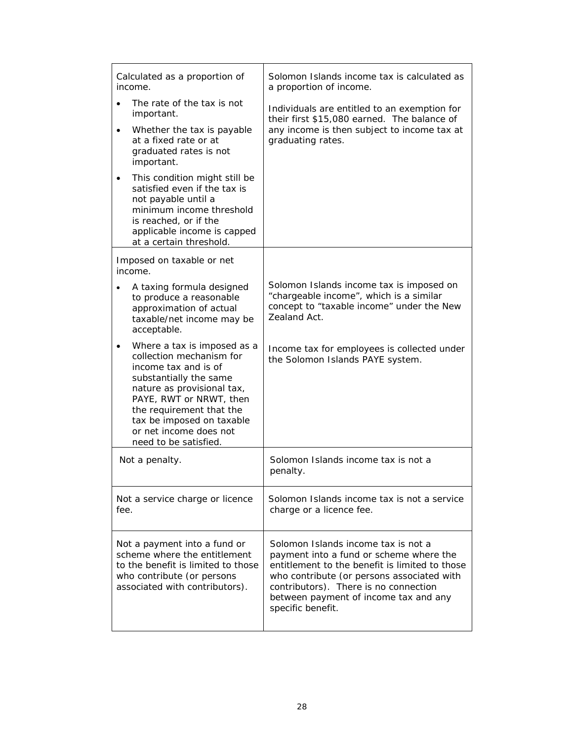| Calculated as a proportion of<br>income.                                                                                                                                                                                                                                       | Solomon Islands income tax is calculated as<br>a proportion of income.                                                                                                                                                                                                                |
|--------------------------------------------------------------------------------------------------------------------------------------------------------------------------------------------------------------------------------------------------------------------------------|---------------------------------------------------------------------------------------------------------------------------------------------------------------------------------------------------------------------------------------------------------------------------------------|
| The rate of the tax is not<br>important.<br>Whether the tax is payable<br>at a fixed rate or at<br>graduated rates is not<br>important.                                                                                                                                        | Individuals are entitled to an exemption for<br>their first \$15,080 earned. The balance of<br>any income is then subject to income tax at<br>graduating rates.                                                                                                                       |
| This condition might still be<br>satisfied even if the tax is<br>not payable until a<br>minimum income threshold<br>is reached, or if the<br>applicable income is capped<br>at a certain threshold.                                                                            |                                                                                                                                                                                                                                                                                       |
| Imposed on taxable or net<br>income.                                                                                                                                                                                                                                           |                                                                                                                                                                                                                                                                                       |
| A taxing formula designed<br>to produce a reasonable<br>approximation of actual<br>taxable/net income may be<br>acceptable.                                                                                                                                                    | Solomon Islands income tax is imposed on<br>"chargeable income", which is a similar<br>concept to "taxable income" under the New<br>Zealand Act.                                                                                                                                      |
| Where a tax is imposed as a<br>collection mechanism for<br>income tax and is of<br>substantially the same<br>nature as provisional tax,<br>PAYE, RWT or NRWT, then<br>the requirement that the<br>tax be imposed on taxable<br>or net income does not<br>need to be satisfied. | Income tax for employees is collected under<br>the Solomon Islands PAYE system.                                                                                                                                                                                                       |
| Not a penalty.                                                                                                                                                                                                                                                                 | Solomon Islands income tax is not a<br>penalty.                                                                                                                                                                                                                                       |
| Not a service charge or licence<br>fee.                                                                                                                                                                                                                                        | Solomon Islands income tax is not a service<br>charge or a licence fee.                                                                                                                                                                                                               |
| Not a payment into a fund or<br>scheme where the entitlement<br>to the benefit is limited to those<br>who contribute (or persons<br>associated with contributors).                                                                                                             | Solomon Islands income tax is not a<br>payment into a fund or scheme where the<br>entitlement to the benefit is limited to those<br>who contribute (or persons associated with<br>contributors). There is no connection<br>between payment of income tax and any<br>specific benefit. |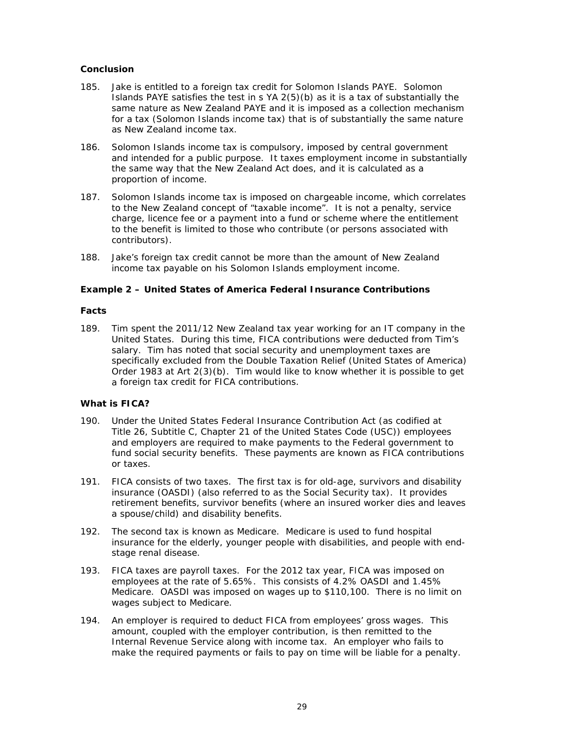# **Conclusion**

- 185. Jake is entitled to a foreign tax credit for Solomon Islands PAYE. Solomon Islands PAYE satisfies the test in s YA 2(5)(b) as it is a tax of substantially the same nature as New Zealand PAYE and it is imposed as a collection mechanism for a tax (Solomon Islands income tax) that is of substantially the same nature as New Zealand income tax.
- 186. Solomon Islands income tax is compulsory, imposed by central government and intended for a public purpose. It taxes employment income in substantially the same way that the New Zealand Act does, and it is calculated as a proportion of income.
- $187.$ Solomon Islands income tax is imposed on chargeable income, which correlates to the New Zealand concept of "taxable income". It is not a penalty, service charge, licence fee or a payment into a fund or scheme where the entitlement to the benefit is limited to those who contribute (or persons associated with contributors).
- 188. Jake's foreign tax credit cannot be more than the amount of New Zealand income tax payable on his Solomon Islands employment income.

# Example 2 - United States of America Federal Insurance Contributions

## **Facts**

189. Tim spent the 2011/12 New Zealand tax year working for an IT company in the United States. During this time, FICA contributions were deducted from Tim's salary. Tim has noted that social security and unemployment taxes are specifically excluded from the Double Taxation Relief (United States of America) Order 1983 at Art 2(3)(b). Tim would like to know whether it is possible to get a foreign tax credit for FICA contributions.

## What is FICA?

- 190. Under the United States Federal Insurance Contribution Act (as codified at Title 26, Subtitle C, Chapter 21 of the United States Code (USC)) employees and employers are required to make payments to the Federal government to fund social security benefits. These payments are known as FICA contributions or taxes.
- $191.$ FICA consists of two taxes. The first tax is for old-age, survivors and disability insurance (OASDI) (also referred to as the Social Security tax). It provides retirement benefits, survivor benefits (where an insured worker dies and leaves a spouse/child) and disability benefits.
- The second tax is known as Medicare. Medicare is used to fund hospital  $192.$ insurance for the elderly, younger people with disabilities, and people with endstage renal disease.
- FICA taxes are payroll taxes. For the 2012 tax year, FICA was imposed on 193. employees at the rate of 5.65%. This consists of 4.2% OASDI and 1.45% Medicare. OASDI was imposed on wages up to \$110,100. There is no limit on wages subject to Medicare.
- 194. An employer is required to deduct FICA from employees' gross wages. This amount, coupled with the employer contribution, is then remitted to the Internal Revenue Service along with income tax. An employer who fails to make the required payments or fails to pay on time will be liable for a penalty.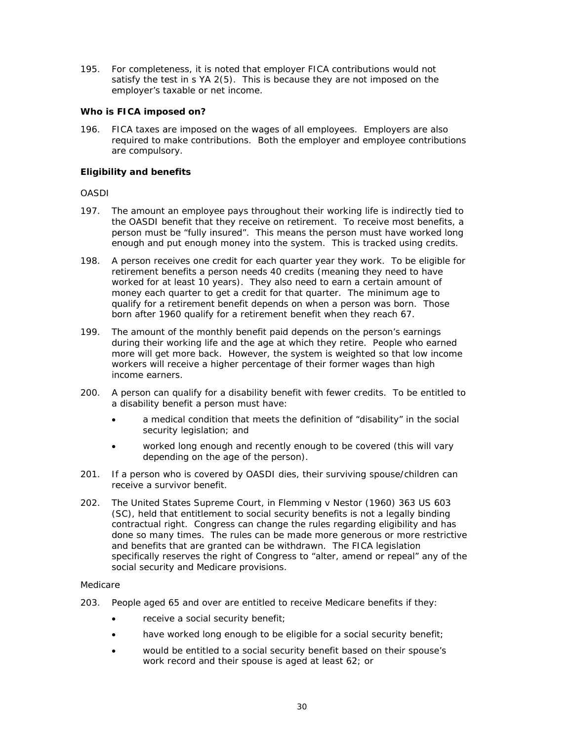195. For completeness, it is noted that employer FICA contributions would not satisfy the test in s YA 2(5). This is because they are not imposed on the employer's taxable or net income.

# Who is FICA imposed on?

196. FICA taxes are imposed on the wages of all employees. Employers are also required to make contributions. Both the employer and employee contributions are compulsory.

# **Eligibility and benefits**

## $OASDI$

- 197. The amount an employee pays throughout their working life is indirectly tied to the OASDI benefit that they receive on retirement. To receive most benefits, a person must be "fully insured". This means the person must have worked long enough and put enough money into the system. This is tracked using credits.
- 198. A person receives one credit for each quarter year they work. To be eligible for retirement benefits a person needs 40 credits (meaning they need to have worked for at least 10 years). They also need to earn a certain amount of money each quarter to get a credit for that quarter. The minimum age to qualify for a retirement benefit depends on when a person was born. Those born after 1960 qualify for a retirement benefit when they reach 67.
- The amount of the monthly benefit paid depends on the person's earnings 199. during their working life and the age at which they retire. People who earned more will get more back. However, the system is weighted so that low income workers will receive a higher percentage of their former wages than high income earners.
- A person can qualify for a disability benefit with fewer credits. To be entitled to 200. a disability benefit a person must have:
	- a medical condition that meets the definition of "disability" in the social security legislation; and
	- worked long enough and recently enough to be covered (this will vary depending on the age of the person).
- If a person who is covered by OASDI dies, their surviving spouse/children can  $201.$ receive a survivor benefit.
- $202.$ The United States Supreme Court, in Flemming v Nestor (1960) 363 US 603 (SC), held that entitlement to social security benefits is not a legally binding contractual right. Congress can change the rules regarding eligibility and has done so many times. The rules can be made more generous or more restrictive and benefits that are granted can be withdrawn. The FICA legislation specifically reserves the right of Congress to "alter, amend or repeal" any of the social security and Medicare provisions.

## Medicare

- 203. People aged 65 and over are entitled to receive Medicare benefits if they:
	- receive a social security benefit;
	- have worked long enough to be eligible for a social security benefit;
	- would be entitled to a social security benefit based on their spouse's  $\bullet$ work record and their spouse is aged at least 62; or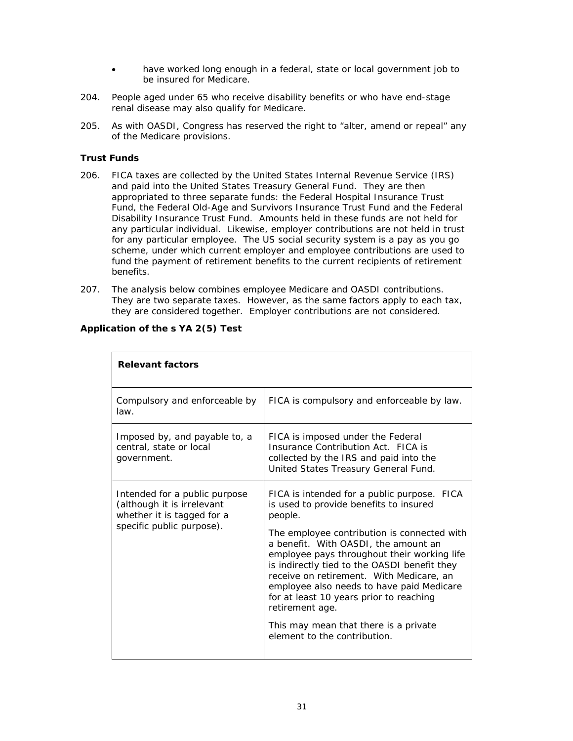- $\bullet$ have worked long enough in a federal, state or local government job to be insured for Medicare.
- 204. People aged under 65 who receive disability benefits or who have end-stage renal disease may also qualify for Medicare.
- $205.$ As with OASDI, Congress has reserved the right to "alter, amend or repeal" any of the Medicare provisions.

## **Trust Funds**

- 206. FICA taxes are collected by the United States Internal Revenue Service (IRS) and paid into the United States Treasury General Fund. They are then appropriated to three separate funds: the Federal Hospital Insurance Trust Fund, the Federal Old-Age and Survivors Insurance Trust Fund and the Federal Disability Insurance Trust Fund. Amounts held in these funds are not held for any particular individual. Likewise, employer contributions are not held in trust for any particular employee. The US social security system is a pay as you go scheme, under which current employer and employee contributions are used to fund the payment of retirement benefits to the current recipients of retirement benefits.
- $207.$ The analysis below combines employee Medicare and OASDI contributions. They are two separate taxes. However, as the same factors apply to each tax, they are considered together. Employer contributions are not considered.

| <b>Relevant factors</b>                                                                                                |                                                                                                                                                                                                                                                                                                                                                                                                                                                                                                                        |
|------------------------------------------------------------------------------------------------------------------------|------------------------------------------------------------------------------------------------------------------------------------------------------------------------------------------------------------------------------------------------------------------------------------------------------------------------------------------------------------------------------------------------------------------------------------------------------------------------------------------------------------------------|
| Compulsory and enforceable by<br>law.                                                                                  | FICA is compulsory and enforceable by law.                                                                                                                                                                                                                                                                                                                                                                                                                                                                             |
| Imposed by, and payable to, a<br>central, state or local<br>government.                                                | FICA is imposed under the Federal<br>Insurance Contribution Act. FICA is<br>collected by the IRS and paid into the<br>United States Treasury General Fund.                                                                                                                                                                                                                                                                                                                                                             |
| Intended for a public purpose<br>(although it is irrelevant<br>whether it is tagged for a<br>specific public purpose). | FICA is intended for a public purpose. FICA<br>is used to provide benefits to insured<br>people.<br>The employee contribution is connected with<br>a benefit. With OASDI, the amount an<br>employee pays throughout their working life<br>is indirectly tied to the OASDI benefit they<br>receive on retirement. With Medicare, an<br>employee also needs to have paid Medicare<br>for at least 10 years prior to reaching<br>retirement age.<br>This may mean that there is a private<br>element to the contribution. |

## Application of the s YA 2(5) Test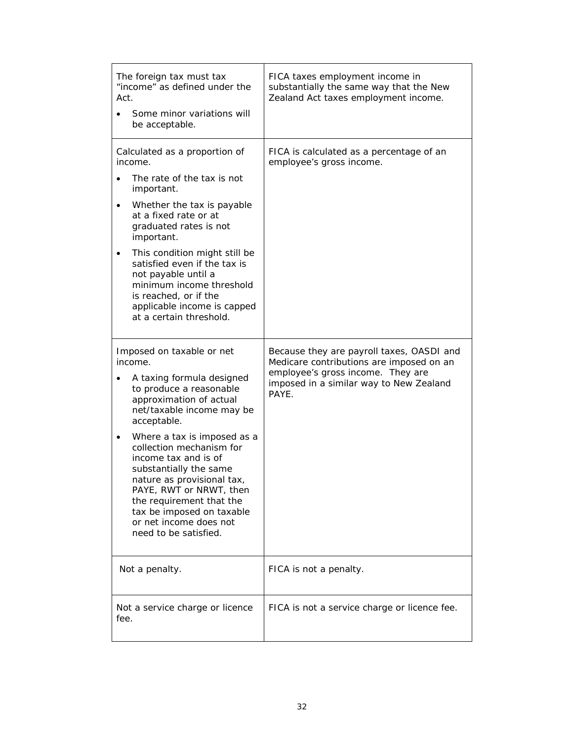| The foreign tax must tax<br>"income" as defined under the<br>Act.<br>Some minor variations will<br>be acceptable.                                                                                                                                                                                                                                                                                                                                          | FICA taxes employment income in<br>substantially the same way that the New<br>Zealand Act taxes employment income.                                                             |
|------------------------------------------------------------------------------------------------------------------------------------------------------------------------------------------------------------------------------------------------------------------------------------------------------------------------------------------------------------------------------------------------------------------------------------------------------------|--------------------------------------------------------------------------------------------------------------------------------------------------------------------------------|
| Calculated as a proportion of<br>income.<br>The rate of the tax is not<br>important.<br>Whether the tax is payable<br>$\bullet$<br>at a fixed rate or at<br>graduated rates is not<br>important.<br>This condition might still be<br>$\bullet$<br>satisfied even if the tax is<br>not payable until a<br>minimum income threshold<br>is reached, or if the<br>applicable income is capped<br>at a certain threshold.                                       | FICA is calculated as a percentage of an<br>employee's gross income.                                                                                                           |
| Imposed on taxable or net<br>income.<br>A taxing formula designed<br>to produce a reasonable<br>approximation of actual<br>net/taxable income may be<br>acceptable.<br>Where a tax is imposed as a<br>٠<br>collection mechanism for<br>income tax and is of<br>substantially the same<br>nature as provisional tax,<br>PAYE, RWT or NRWT, then<br>the requirement that the<br>tax be imposed on taxable<br>or net income does not<br>need to be satisfied. | Because they are payroll taxes, OASDI and<br>Medicare contributions are imposed on an<br>employee's gross income. They are<br>imposed in a similar way to New Zealand<br>PAYE. |
| Not a penalty.                                                                                                                                                                                                                                                                                                                                                                                                                                             | FICA is not a penalty.                                                                                                                                                         |
| Not a service charge or licence<br>fee.                                                                                                                                                                                                                                                                                                                                                                                                                    | FICA is not a service charge or licence fee.                                                                                                                                   |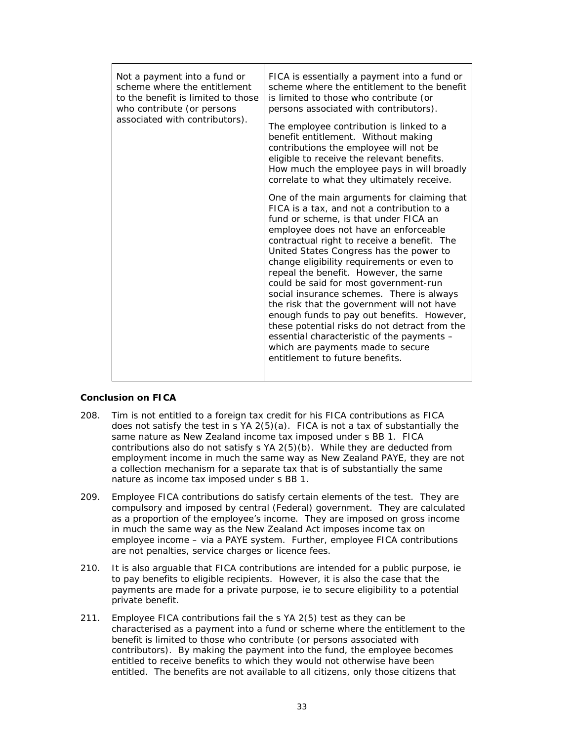| Not a payment into a fund or<br>scheme where the entitlement<br>to the benefit is limited to those<br>who contribute (or persons<br>associated with contributors). | FICA is essentially a payment into a fund or<br>scheme where the entitlement to the benefit<br>is limited to those who contribute (or<br>persons associated with contributors).<br>The employee contribution is linked to a<br>benefit entitlement. Without making<br>contributions the employee will not be<br>eligible to receive the relevant benefits.<br>How much the employee pays in will broadly                                                                                                                                                                                                                                                                                                                                                            |
|--------------------------------------------------------------------------------------------------------------------------------------------------------------------|---------------------------------------------------------------------------------------------------------------------------------------------------------------------------------------------------------------------------------------------------------------------------------------------------------------------------------------------------------------------------------------------------------------------------------------------------------------------------------------------------------------------------------------------------------------------------------------------------------------------------------------------------------------------------------------------------------------------------------------------------------------------|
|                                                                                                                                                                    | correlate to what they ultimately receive.<br>One of the main arguments for claiming that<br>FICA is a tax, and not a contribution to a<br>fund or scheme, is that under FICA an<br>employee does not have an enforceable<br>contractual right to receive a benefit. The<br>United States Congress has the power to<br>change eligibility requirements or even to<br>repeal the benefit. However, the same<br>could be said for most government-run<br>social insurance schemes. There is always<br>the risk that the government will not have<br>enough funds to pay out benefits. However,<br>these potential risks do not detract from the<br>essential characteristic of the payments -<br>which are payments made to secure<br>entitlement to future benefits. |

## **Conclusion on FICA**

- 208. Tim is not entitled to a foreign tax credit for his FICA contributions as FICA does not satisfy the test in s YA 2(5)(a). FICA is not a tax of substantially the same nature as New Zealand income tax imposed under s BB 1. FICA contributions also do not satisfy s YA 2(5)(b). While they are deducted from employment income in much the same way as New Zealand PAYE, they are not a collection mechanism for a separate tax that is of substantially the same nature as income tax imposed under s BB 1.
- 209. Employee FICA contributions do satisfy certain elements of the test. They are compulsory and imposed by central (Federal) government. They are calculated as a proportion of the employee's income. They are imposed on gross income in much the same way as the New Zealand Act imposes income tax on employee income - via a PAYE system. Further, employee FICA contributions are not penalties, service charges or licence fees.
- $210.$ It is also arguable that FICA contributions are intended for a public purpose, ie to pay benefits to eligible recipients. However, it is also the case that the payments are made for a private purpose, ie to secure eligibility to a potential private benefit.
- $211.$ Employee FICA contributions fail the s YA 2(5) test as they can be characterised as a payment into a fund or scheme where the entitlement to the benefit is limited to those who contribute (or persons associated with contributors). By making the payment into the fund, the employee becomes entitled to receive benefits to which they would not otherwise have been entitled. The benefits are not available to all citizens, only those citizens that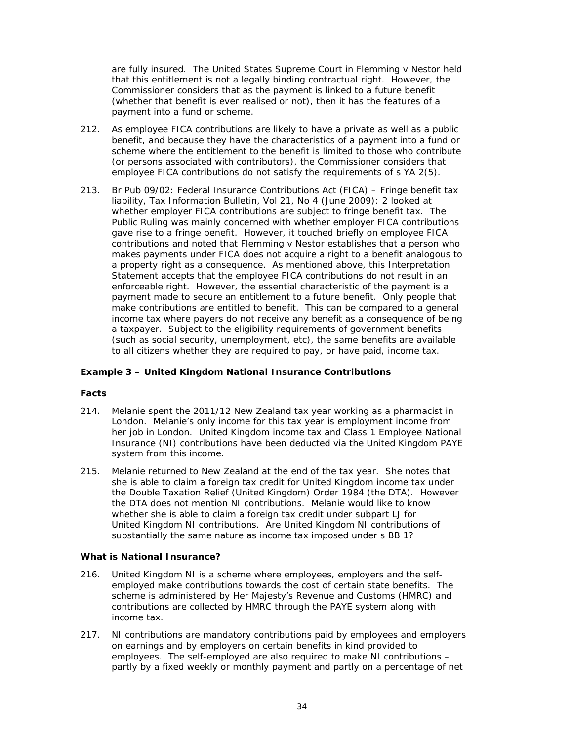are fully insured. The United States Supreme Court in *Flemming v Nestor* held that this entitlement is not a legally binding contractual right. However, the Commissioner considers that as the payment is linked to a future benefit (whether that benefit is ever realised or not), then it has the features of a payment into a fund or scheme.

- $212.$ As employee FICA contributions are likely to have a private as well as a public benefit, and because they have the characteristics of a payment into a fund or scheme where the entitlement to the benefit is limited to those who contribute (or persons associated with contributors), the Commissioner considers that employee FICA contributions do not satisfy the requirements of s YA 2(5).
- Br Pub 09/02: Federal Insurance Contributions Act (FICA) Fringe benefit tax  $213.$ liability, Tax Information Bulletin, Vol 21, No 4 (June 2009): 2 looked at whether employer FICA contributions are subject to fringe benefit tax. The Public Ruling was mainly concerned with whether employer FICA contributions gave rise to a fringe benefit. However, it touched briefly on employee FICA contributions and noted that Flemming v Nestor establishes that a person who makes payments under FICA does not acquire a right to a benefit analogous to a property right as a consequence. As mentioned above, this Interpretation Statement accepts that the employee FICA contributions do not result in an enforceable right. However, the essential characteristic of the payment is a payment made to secure an entitlement to a future benefit. Only people that make contributions are entitled to benefit. This can be compared to a general income tax where payers do not receive any benefit as a consequence of being a taxpayer. Subject to the eligibility requirements of government benefits (such as social security, unemployment, etc), the same benefits are available to all citizens whether they are required to pay, or have paid, income tax.

## **Example 3 - United Kingdom National Insurance Contributions**

## **Facts**

- $214.$ Melanie spent the 2011/12 New Zealand tax year working as a pharmacist in London. Melanie's only income for this tax year is employment income from her job in London. United Kingdom income tax and Class 1 Employee National Insurance (NI) contributions have been deducted via the United Kingdom PAYE system from this income.
- Melanie returned to New Zealand at the end of the tax year. She notes that  $215.$ she is able to claim a foreign tax credit for United Kingdom income tax under the Double Taxation Relief (United Kingdom) Order 1984 (the DTA). However the DTA does not mention NI contributions. Melanie would like to know whether she is able to claim a foreign tax credit under subpart LJ for United Kingdom NI contributions. Are United Kingdom NI contributions of substantially the same nature as income tax imposed under s BB 1?

## **What is National Insurance?**

- $216.$ United Kingdom NI is a scheme where employees, employers and the selfemployed make contributions towards the cost of certain state benefits. The scheme is administered by Her Majesty's Revenue and Customs (HMRC) and contributions are collected by HMRC through the PAYE system along with income tax.
- 217. NI contributions are mandatory contributions paid by employees and employers on earnings and by employers on certain benefits in kind provided to employees. The self-employed are also required to make NI contributions partly by a fixed weekly or monthly payment and partly on a percentage of net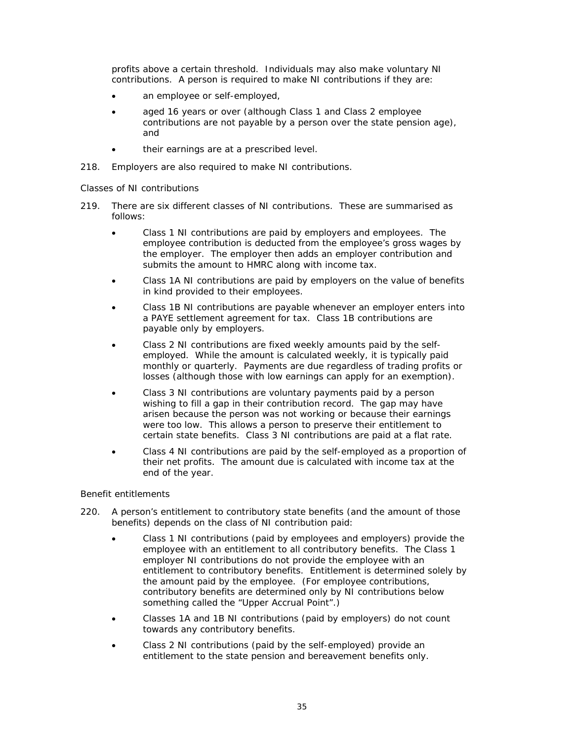profits above a certain threshold. Individuals may also make voluntary NI contributions. A person is required to make NI contributions if they are:

- an employee or self-employed,
- aged 16 years or over (although Class 1 and Class 2 employee contributions are not payable by a person over the state pension age), and
- their earnings are at a prescribed level.
- 218. Employers are also required to make NI contributions.

# Classes of NI contributions

- There are six different classes of NI contributions. These are summarised as  $219$ follows:
	- Class 1 NI contributions are paid by employers and employees. The employee contribution is deducted from the employee's gross wages by the employer. The employer then adds an employer contribution and submits the amount to HMRC along with income tax.
	- Class 1A NI contributions are paid by employers on the value of benefits in kind provided to their employees.
	- Class 1B NI contributions are payable whenever an employer enters into a PAYE settlement agreement for tax. Class 1B contributions are payable only by employers.
	- Class 2 NI contributions are fixed weekly amounts paid by the selfemployed. While the amount is calculated weekly, it is typically paid monthly or quarterly. Payments are due regardless of trading profits or losses (although those with low earnings can apply for an exemption).
	- Class 3 NI contributions are voluntary payments paid by a person wishing to fill a gap in their contribution record. The gap may have arisen because the person was not working or because their earnings were too low. This allows a person to preserve their entitlement to certain state benefits. Class 3 NI contributions are paid at a flat rate.
	- Class 4 NI contributions are paid by the self-employed as a proportion of their net profits. The amount due is calculated with income tax at the end of the year.

## **Benefit entitlements**

- $220.$ A person's entitlement to contributory state benefits (and the amount of those benefits) depends on the class of NI contribution paid:
	- Class 1 NI contributions (paid by employees and employers) provide the employee with an entitlement to all contributory benefits. The Class 1 employer NI contributions do not provide the employee with an entitlement to contributory benefits. Entitlement is determined solely by the amount paid by the employee. (For employee contributions, contributory benefits are determined only by NI contributions below something called the "Upper Accrual Point".)
	- Classes 1A and 1B NI contributions (paid by employers) do not count towards any contributory benefits.
	- Class 2 NI contributions (paid by the self-employed) provide an entitlement to the state pension and bereavement benefits only.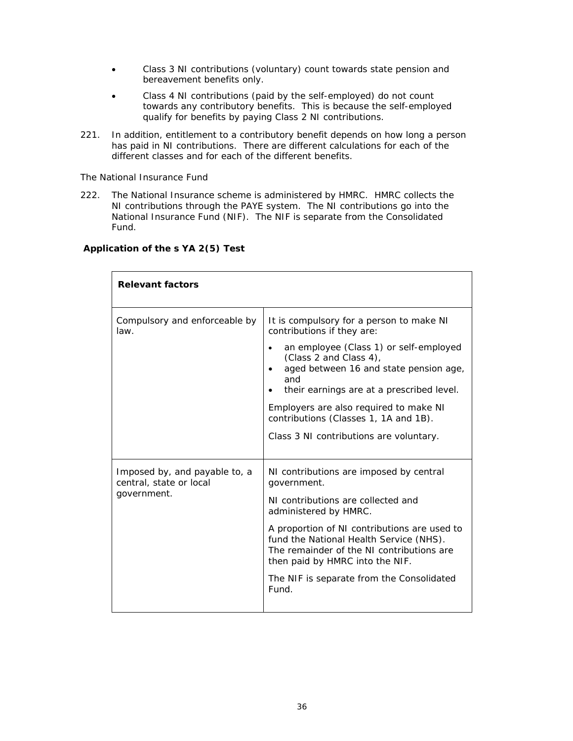- Class 3 NI contributions (voluntary) count towards state pension and  $\bullet$ bereavement benefits only.
- Class 4 NI contributions (paid by the self-employed) do not count towards any contributory benefits. This is because the self-employed qualify for benefits by paying Class 2 NI contributions.
- 221. In addition, entitlement to a contributory benefit depends on how long a person has paid in NI contributions. There are different calculations for each of the different classes and for each of the different benefits.

## The National Insurance Fund

 $222.$ The National Insurance scheme is administered by HMRC. HMRC collects the NI contributions through the PAYE system. The NI contributions go into the National Insurance Fund (NIF). The NIF is separate from the Consolidated Fund.

| <b>Relevant factors</b>                                                 |                                                                                                                                                                                                                                                                                                                                                                                     |
|-------------------------------------------------------------------------|-------------------------------------------------------------------------------------------------------------------------------------------------------------------------------------------------------------------------------------------------------------------------------------------------------------------------------------------------------------------------------------|
| Compulsory and enforceable by<br>law.                                   | It is compulsory for a person to make NI<br>contributions if they are:<br>an employee (Class 1) or self-employed<br>(Class 2 and Class 4),<br>aged between 16 and state pension age,<br>$\bullet$<br>and<br>their earnings are at a prescribed level.<br>Employers are also required to make NI<br>contributions (Classes 1, 1A and 1B).<br>Class 3 NI contributions are voluntary. |
| Imposed by, and payable to, a<br>central, state or local<br>government. | NI contributions are imposed by central<br>government.<br>NI contributions are collected and<br>administered by HMRC.<br>A proportion of NI contributions are used to<br>fund the National Health Service (NHS).<br>The remainder of the NI contributions are<br>then paid by HMRC into the NIF.<br>The NIF is separate from the Consolidated<br>Fund.                              |

# Application of the s YA 2(5) Test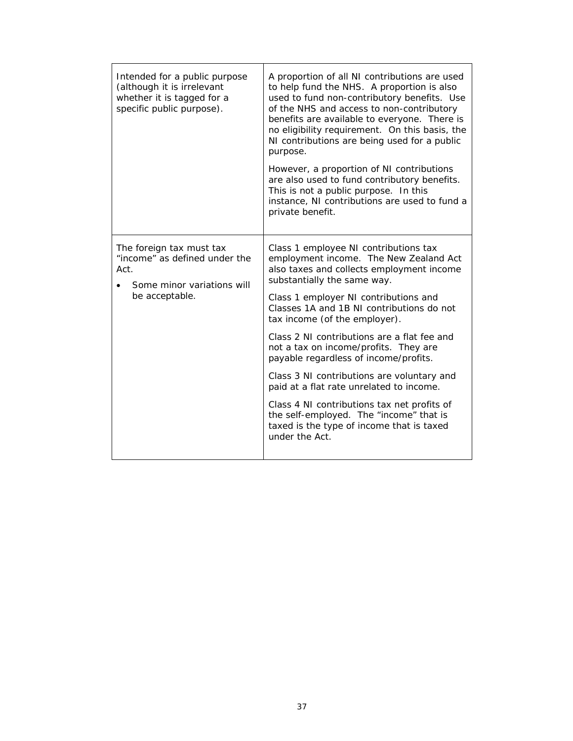| Intended for a public purpose<br>(although it is irrelevant<br>whether it is tagged for a<br>specific public purpose). | A proportion of all NI contributions are used<br>to help fund the NHS. A proportion is also<br>used to fund non-contributory benefits. Use<br>of the NHS and access to non-contributory<br>benefits are available to everyone. There is<br>no eligibility requirement. On this basis, the<br>NI contributions are being used for a public<br>purpose.<br>However, a proportion of NI contributions<br>are also used to fund contributory benefits.<br>This is not a public purpose. In this<br>instance, NI contributions are used to fund a<br>private benefit.                                                                                                       |
|------------------------------------------------------------------------------------------------------------------------|------------------------------------------------------------------------------------------------------------------------------------------------------------------------------------------------------------------------------------------------------------------------------------------------------------------------------------------------------------------------------------------------------------------------------------------------------------------------------------------------------------------------------------------------------------------------------------------------------------------------------------------------------------------------|
| The foreign tax must tax<br>"income" as defined under the<br>Act.<br>Some minor variations will<br>be acceptable.      | Class 1 employee NI contributions tax<br>employment income. The New Zealand Act<br>also taxes and collects employment income<br>substantially the same way.<br>Class 1 employer NI contributions and<br>Classes 1A and 1B NI contributions do not<br>tax income (of the employer).<br>Class 2 NI contributions are a flat fee and<br>not a tax on income/profits. They are<br>payable regardless of income/profits.<br>Class 3 NI contributions are voluntary and<br>paid at a flat rate unrelated to income.<br>Class 4 NI contributions tax net profits of<br>the self-employed. The "income" that is<br>taxed is the type of income that is taxed<br>under the Act. |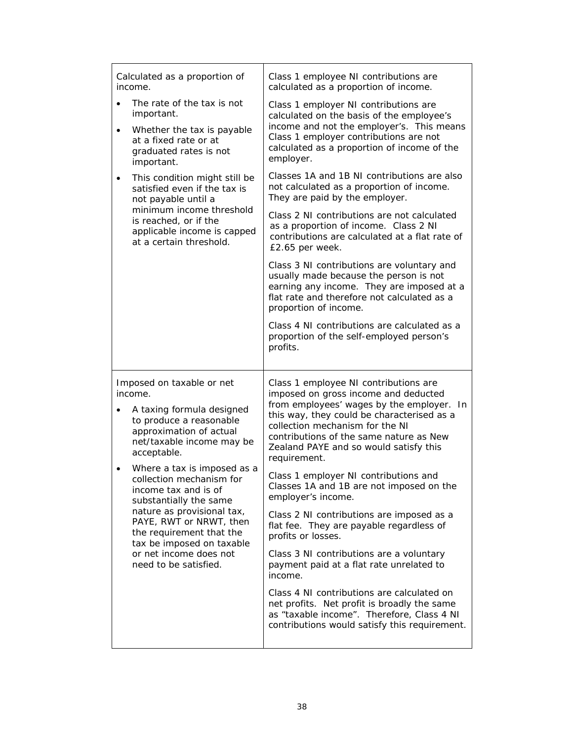|                        | Calculated as a proportion of<br>income.                                                                                                                                                                                                                                                                                                                                                                                                              | Class 1 employee NI contributions are<br>calculated as a proportion of income.                                                                                                                                                                                                                                                                                                                                                                                                                                                                                                                                                                                                                                                                                                                                                            |
|------------------------|-------------------------------------------------------------------------------------------------------------------------------------------------------------------------------------------------------------------------------------------------------------------------------------------------------------------------------------------------------------------------------------------------------------------------------------------------------|-------------------------------------------------------------------------------------------------------------------------------------------------------------------------------------------------------------------------------------------------------------------------------------------------------------------------------------------------------------------------------------------------------------------------------------------------------------------------------------------------------------------------------------------------------------------------------------------------------------------------------------------------------------------------------------------------------------------------------------------------------------------------------------------------------------------------------------------|
| $\bullet$<br>$\bullet$ | The rate of the tax is not<br>important.<br>Whether the tax is payable<br>at a fixed rate or at<br>graduated rates is not<br>important.                                                                                                                                                                                                                                                                                                               | Class 1 employer NI contributions are<br>calculated on the basis of the employee's<br>income and not the employer's. This means<br>Class 1 employer contributions are not<br>calculated as a proportion of income of the<br>employer.                                                                                                                                                                                                                                                                                                                                                                                                                                                                                                                                                                                                     |
| $\bullet$              | This condition might still be<br>satisfied even if the tax is<br>not payable until a                                                                                                                                                                                                                                                                                                                                                                  | Classes 1A and 1B NI contributions are also<br>not calculated as a proportion of income.<br>They are paid by the employer.                                                                                                                                                                                                                                                                                                                                                                                                                                                                                                                                                                                                                                                                                                                |
|                        | minimum income threshold<br>is reached, or if the<br>applicable income is capped<br>at a certain threshold.                                                                                                                                                                                                                                                                                                                                           | Class 2 NI contributions are not calculated<br>as a proportion of income. Class 2 NI<br>contributions are calculated at a flat rate of<br>£2.65 per week.                                                                                                                                                                                                                                                                                                                                                                                                                                                                                                                                                                                                                                                                                 |
|                        |                                                                                                                                                                                                                                                                                                                                                                                                                                                       | Class 3 NI contributions are voluntary and<br>usually made because the person is not<br>earning any income. They are imposed at a<br>flat rate and therefore not calculated as a<br>proportion of income.                                                                                                                                                                                                                                                                                                                                                                                                                                                                                                                                                                                                                                 |
|                        |                                                                                                                                                                                                                                                                                                                                                                                                                                                       | Class 4 NI contributions are calculated as a<br>proportion of the self-employed person's<br>profits.                                                                                                                                                                                                                                                                                                                                                                                                                                                                                                                                                                                                                                                                                                                                      |
| $\bullet$<br>$\bullet$ | Imposed on taxable or net<br>income.<br>A taxing formula designed<br>to produce a reasonable<br>approximation of actual<br>net/taxable income may be<br>acceptable.<br>Where a tax is imposed as a<br>collection mechanism for<br>income tax and is of<br>substantially the same<br>nature as provisional tax,<br>PAYE, RWT or NRWT, then<br>the requirement that the<br>tax be imposed on taxable<br>or net income does not<br>need to be satisfied. | Class 1 employee NI contributions are<br>imposed on gross income and deducted<br>from employees' wages by the employer. In<br>this way, they could be characterised as a<br>collection mechanism for the NI<br>contributions of the same nature as New<br>Zealand PAYE and so would satisfy this<br>requirement.<br>Class 1 employer NI contributions and<br>Classes 1A and 1B are not imposed on the<br>employer's income.<br>Class 2 NI contributions are imposed as a<br>flat fee. They are payable regardless of<br>profits or losses.<br>Class 3 NI contributions are a voluntary<br>payment paid at a flat rate unrelated to<br>income.<br>Class 4 NI contributions are calculated on<br>net profits. Net profit is broadly the same<br>as "taxable income". Therefore, Class 4 NI<br>contributions would satisfy this requirement. |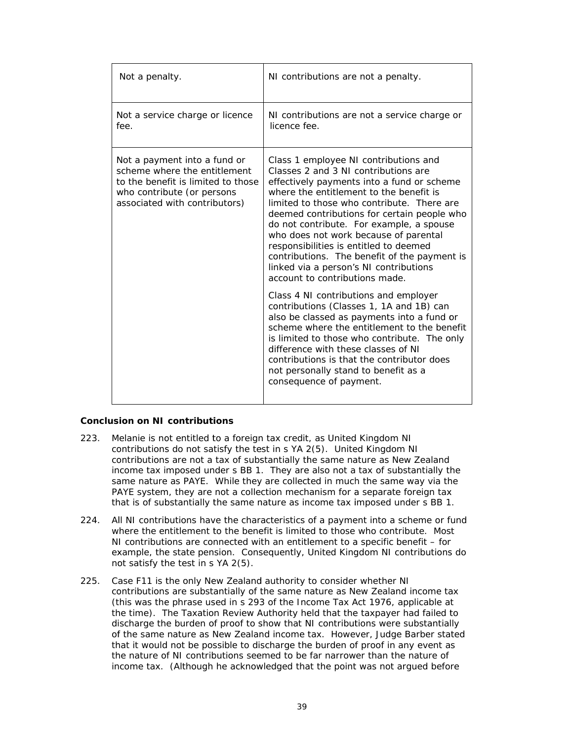| Not a penalty.                                                                                                                                                    | NI contributions are not a penalty.                                                                                                                                                                                                                                                                                                                                                                                                                                                                                            |
|-------------------------------------------------------------------------------------------------------------------------------------------------------------------|--------------------------------------------------------------------------------------------------------------------------------------------------------------------------------------------------------------------------------------------------------------------------------------------------------------------------------------------------------------------------------------------------------------------------------------------------------------------------------------------------------------------------------|
| Not a service charge or licence<br>fee.                                                                                                                           | NI contributions are not a service charge or<br>licence fee.                                                                                                                                                                                                                                                                                                                                                                                                                                                                   |
| Not a payment into a fund or<br>scheme where the entitlement<br>to the benefit is limited to those<br>who contribute (or persons<br>associated with contributors) | Class 1 employee NI contributions and<br>Classes 2 and 3 NI contributions are<br>effectively payments into a fund or scheme<br>where the entitlement to the benefit is<br>limited to those who contribute. There are<br>deemed contributions for certain people who<br>do not contribute. For example, a spouse<br>who does not work because of parental<br>responsibilities is entitled to deemed<br>contributions. The benefit of the payment is<br>linked via a person's NI contributions<br>account to contributions made. |
|                                                                                                                                                                   | Class 4 NI contributions and employer<br>contributions (Classes 1, 1A and 1B) can<br>also be classed as payments into a fund or<br>scheme where the entitlement to the benefit<br>is limited to those who contribute. The only<br>difference with these classes of NI<br>contributions is that the contributor does<br>not personally stand to benefit as a<br>consequence of payment.                                                                                                                                         |

## **Conclusion on NI contributions**

- 223. Melanie is not entitled to a foreign tax credit, as United Kingdom NI contributions do not satisfy the test in s YA 2(5). United Kingdom NI contributions are not a tax of substantially the same nature as New Zealand income tax imposed under s BB 1. They are also not a tax of substantially the same nature as PAYE. While they are collected in much the same way via the PAYE system, they are not a collection mechanism for a separate foreign tax that is of substantially the same nature as income tax imposed under s BB 1.
- $224.$ All NI contributions have the characteristics of a payment into a scheme or fund where the entitlement to the benefit is limited to those who contribute. Most NI contributions are connected with an entitlement to a specific benefit – for example, the state pension. Consequently, United Kingdom NI contributions do not satisfy the test in s YA 2(5).
- 225. Case F11 is the only New Zealand authority to consider whether NI contributions are substantially of the same nature as New Zealand income tax (this was the phrase used in s 293 of the Income Tax Act 1976, applicable at the time). The Taxation Review Authority held that the taxpayer had failed to discharge the burden of proof to show that NI contributions were substantially of the same nature as New Zealand income tax. However, Judge Barber stated that it would not be possible to discharge the burden of proof in any event as the nature of NI contributions seemed to be far narrower than the nature of income tax. (Although he acknowledged that the point was not argued before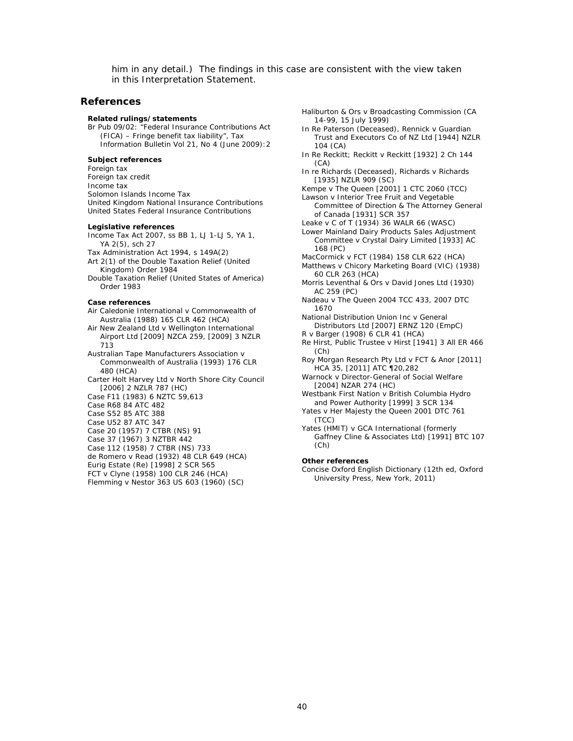him in any detail.) The findings in this case are consistent with the view taken in this Interpretation Statement.

### **References**

### **Related rulings/statements**

Br Pub 09/02: "Federal Insurance Contributions Act (FICA) – Fringe benefit tax liability", *Tax Information Bulletin* Vol 21, No 4 (June 2009):2

### **Subject references**

Foreign tax Foreign tax credit Income tax Solomon Islands Income Tax United Kingdom National Insurance Contributions United States Federal Insurance Contributions

#### **Legislative references**

Income Tax Act 2007, ss BB 1, LJ 1-LJ 5, YA 1, YA 2(5), sch 27

Tax Administration Act 1994, s 149A(2) Art 2(1) of the Double Taxation Relief (United

Kingdom) Order 1984 Double Taxation Relief (United States of America) Order 1983

#### **Case references**

*Air Caledonie International v Commonwealth of Australia* (1988) 165 CLR 462 (HCA)

*Air New Zealand Ltd v Wellington International Airport Ltd* [2009] NZCA 259, [2009] 3 NZLR 713

*Australian Tape Manufacturers Association v Commonwealth of Australia* (1993) 176 CLR 480 (HCA)

*Carter Holt Harvey Ltd v North Shore City Council* [2006] 2 NZLR 787 (HC)

*Case F11* (1983) 6 NZTC 59,613

*Case R68* 84 ATC 482

*Case S52* 85 ATC 388

*Case U52* 87 ATC 347

*Case 20* (1957) 7 CTBR (NS) 91

*Case 37* (1967) 3 NZTBR 442

*Case 112* (1958) 7 CTBR (NS) 733

*de Romero v Read* (1932) 48 CLR 649 (HCA)

*Eurig Estate (Re)* [1998] 2 SCR 565

*FCT v Clyne* (1958) 100 CLR 246 (HCA) *Flemming v Nestor* 363 US 603 (1960) (SC) *Haliburton & Ors v Broadcasting Commission* (CA 14-99, 15 July 1999)

*In Re Paterson (Deceased), Rennick v Guardian Trust and Executors Co of NZ Ltd* [1944] NZLR 104 (CA)

*In Re Reckitt; Reckitt v Reckitt* [1932] 2 Ch 144 (CA)

*In re Richards (Deceased), Richards v Richards* [1935] NZLR 909 (SC)

*Kempe v The Queen* [2001] 1 CTC 2060 (TCC)

*Lawson v Interior Tree Fruit and Vegetable Committee of Direction & The Attorney General of Canada* [1931] SCR 357

*Leake v C of T* (1934) 36 WALR 66 (WASC)

*Lower Mainland Dairy Products Sales Adjustment Committee v Crystal Dairy Limited* [1933] AC 168 (PC)

*MacCormick v FCT* (1984) 158 CLR 622 (HCA)

*Matthews v Chicory Marketing Board* (VIC) (1938) 60 CLR 263 (HCA)

*Morris Leventhal & Ors v David Jones Ltd* (1930) AC 259 (PC)

*Nadeau v The Queen* 2004 TCC 433, 2007 DTC 1670

*National Distribution Union Inc v General Distributors Ltd* [2007] ERNZ 120 (EmpC)

*R v Barger* (1908) 6 CLR 41 (HCA)

*Re Hirst, Public Trustee v Hirst* [1941] 3 All ER 466 (Ch)

*Roy Morgan Research Pty Ltd v FCT &* Anor [2011] HCA 35, [2011] ATC ¶20,282

*Warnock v Director-General of Social Welfare*  [2004] NZAR 274 (HC)

*Westbank First Nation v British Columbia Hydro and Power Authority* [1999] 3 SCR 134

*Yates v Her Majesty the Queen* 2001 DTC 761 (TCC)

*Yates (HMIT) v GCA International (formerly Gaffney Cline & Associates Ltd)* [1991] BTC 107 (Ch)

### **Other references**

*Concise Oxford English Dictionary* (12th ed, Oxford University Press, New York, 2011)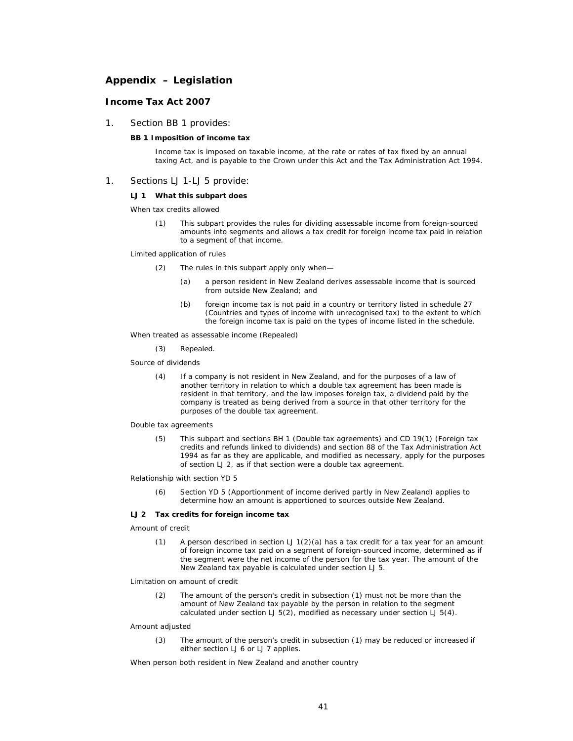# **Appendix – Legislation**

### **Income Tax Act 2007**

1. Section BB 1 provides:

### **BB 1 Imposition of income tax**

Income tax is imposed on taxable income, at the rate or rates of tax fixed by an annual taxing Act, and is payable to the Crown under this Act and the Tax Administration Act 1994.

### 1. Sections LJ 1-LJ 5 provide:

### **LJ 1 What this subpart does**

*When tax credits allowed*

(1) This subpart provides the rules for dividing assessable income from foreign-sourced amounts into segments and allows a tax credit for foreign income tax paid in relation to a segment of that income.

#### *Limited application of rules*

- (2) The rules in this subpart apply only when—
	- (a) a person resident in New Zealand derives assessable income that is sourced from outside New Zealand; and
	- (b) foreign income tax is not paid in a country or territory listed in schedule 27 (Countries and types of income with unrecognised tax) to the extent to which the foreign income tax is paid on the types of income listed in the schedule.

*When treated as assessable income (Repealed)*

(3) Repealed.

#### *Source of dividends*

(4) If a company is not resident in New Zealand, and for the purposes of a law of another territory in relation to which a double tax agreement has been made is resident in that territory, and the law imposes foreign tax, a dividend paid by the company is treated as being derived from a source in that other territory for the purposes of the double tax agreement.

#### *Double tax agreements*

(5) This subpart and sections BH 1 (Double tax agreements) and CD 19(1) (Foreign tax credits and refunds linked to dividends) and section 88 of the Tax Administration Act 1994 as far as they are applicable, and modified as necessary, apply for the purposes of section LJ 2, as if that section were a double tax agreement.

### *Relationship with section YD 5*

(6) Section YD 5 (Apportionment of income derived partly in New Zealand) applies to determine how an amount is apportioned to sources outside New Zealand.

### **LJ 2 Tax credits for foreign income tax**

### *Amount of credit*

(1) A person described in section  $LJ1(2)(a)$  has a tax credit for a tax year for an amount of foreign income tax paid on a segment of foreign-sourced income, determined as if the segment were the net income of the person for the tax year. The amount of the New Zealand tax payable is calculated under section LJ 5.

### *Limitation on amount of credit*

(2) The amount of the person's credit in subsection (1) must not be more than the amount of New Zealand tax payable by the person in relation to the segment calculated under section LJ  $\overline{5(2)}$ , modified as necessary under section LJ  $\overline{5(4)}$ .

#### *Amount adjusted*

(3) The amount of the person's credit in subsection (1) may be reduced or increased if either section LJ 6 or LJ 7 applies.

*When person both resident in New Zealand and another country*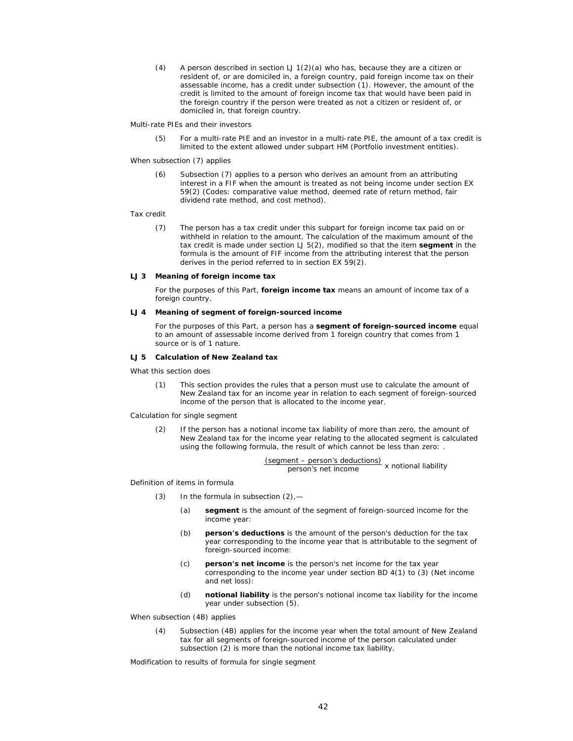(4) A person described in section  $LJ1(2)(a)$  who has, because they are a citizen or resident of, or are domiciled in, a foreign country, paid foreign income tax on their assessable income, has a credit under subsection (1). However, the amount of the credit is limited to the amount of foreign income tax that would have been paid in the foreign country if the person were treated as not a citizen or resident of, or domiciled in, that foreign country.

*Multi-rate PIEs and their investors*

(5) For a multi-rate PIE and an investor in a multi-rate PIE, the amount of a tax credit is limited to the extent allowed under subpart HM (Portfolio investment entities).

*When subsection (7) applies*

(6) Subsection (7) applies to a person who derives an amount from an attributing interest in a FIF when the amount is treated as not being income under section EX 59(2) (Codes: comparative value method, deemed rate of return method, fair dividend rate method, and cost method).

### *Tax credit*

(7) The person has a tax credit under this subpart for foreign income tax paid on or withheld in relation to the amount. The calculation of the maximum amount of the tax credit is made under section LJ 5(2), modified so that the item **segment** in the formula is the amount of FIF income from the attributing interest that the person derives in the period referred to in section EX 59(2).

### **LJ 3 Meaning of foreign income tax**

For the purposes of this Part, **foreign income tax** means an amount of income tax of a foreign country.

### **LJ 4 Meaning of segment of foreign-sourced income**

For the purposes of this Part, a person has a **segment of foreign-sourced income** equal to an amount of assessable income derived from 1 foreign country that comes from 1 source or is of 1 nature.

#### **LJ 5 Calculation of New Zealand tax**

*What this section does*

(1) This section provides the rules that a person must use to calculate the amount of New Zealand tax for an income year in relation to each segment of foreign-sourced income of the person that is allocated to the income year.

*Calculation for single segment*

(2) If the person has a notional income tax liability of more than zero, the amount of New Zealand tax for the income year relating to the allocated segment is calculated using the following formula, the result of which cannot be less than zero: .

(segment – person's deductions) person's net income x notional liability

*Definition of items in formula*

- (3) In the formula in subsection  $(2)$ , -
	- (a) **segment** is the amount of the segment of foreign-sourced income for the income year:
	- (b) **person's deductions** is the amount of the person's deduction for the tax year corresponding to the income year that is attributable to the segment of foreign-sourced income:
	- (c) **person's net income** is the person's net income for the tax year corresponding to the income year under section BD 4(1) to (3) (Net income and net loss):
	- (d) **notional liability** is the person's notional income tax liability for the income year under subsection (5).

*When subsection (4B) applies*

(4) Subsection (4B) applies for the income year when the total amount of New Zealand tax for all segments of foreign-sourced income of the person calculated under subsection (2) is more than the notional income tax liability.

*Modification to results of formula for single segment*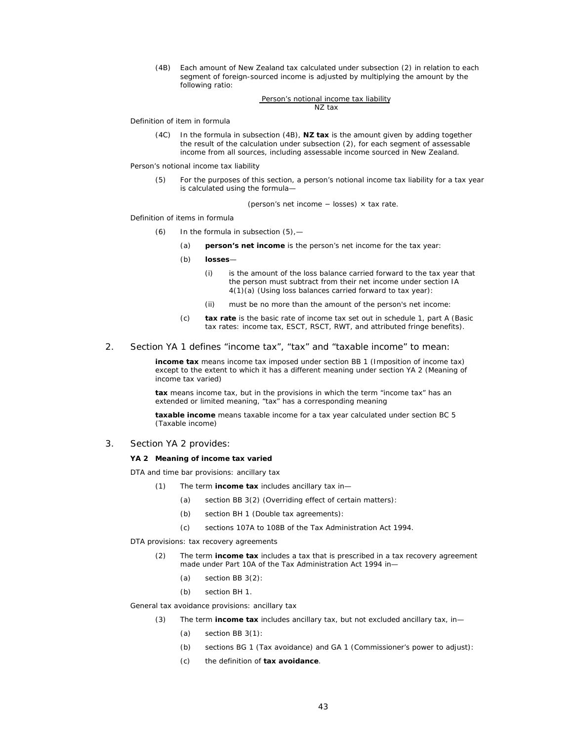(4B) Each amount of New Zealand tax calculated under subsection (2) in relation to each segment of foreign-sourced income is adjusted by multiplying the amount by the following ratio:

#### Person's notional income tax liability NZ tax

*Definition of item in formula* 

(4C) In the formula in subsection (4B), **NZ tax** is the amount given by adding together the result of the calculation under subsection (2), for each segment of assessable income from all sources, including assessable income sourced in New Zealand.

*Person's notional income tax liability*

(5) For the purposes of this section, a person's notional income tax liability for a tax year is calculated using the formula—

(person's net income − losses) × tax rate.

*Definition of items in formula*

- (6) In the formula in subsection (5),—
	- (a) **person's net income** is the person's net income for the tax year:
	- (b) **losses**
		- (i) is the amount of the loss balance carried forward to the tax year that the person must subtract from their net income under section IA 4(1)(a) (Using loss balances carried forward to tax year):
		- (ii) must be no more than the amount of the person's net income:
	- (c) **tax rate** is the basic rate of income tax set out in schedule 1, part A (Basic tax rates: income tax, ESCT, RSCT, RWT, and attributed fringe benefits).
- 2. Section YA 1 defines "income tax", "tax" and "taxable income" to mean:

**income tax** means income tax imposed under section BB 1 (Imposition of income tax) except to the extent to which it has a different meaning under section YA 2 (Meaning of income tax varied)

**tax** means income tax, but in the provisions in which the term "income tax" has an extended or limited meaning, "tax" has a corresponding meaning

**taxable income** means taxable income for a tax year calculated under section BC 5 (Taxable income)

3. Section YA 2 provides:

#### **YA 2 Meaning of income tax varied**

*DTA and time bar provisions: ancillary tax* 

- (1) The term **income tax** includes ancillary tax in—
	- (a) section BB 3(2) (Overriding effect of certain matters):
	- (b) section BH 1 (Double tax agreements):
	- (c) sections 107A to 108B of the Tax Administration Act 1994.

*DTA provisions: tax recovery agreements* 

- (2) The term **income tax** includes a tax that is prescribed in a tax recovery agreement made under Part 10A of the Tax Administration Act 1994 in—
	- (a) section BB 3(2):
	- (b) section BH 1.

*General tax avoidance provisions: ancillary tax* 

- (3) The term **income tax** includes ancillary tax, but not excluded ancillary tax, in—
	- (a) section BB 3(1):
	- (b) sections BG 1 (Tax avoidance) and GA 1 (Commissioner's power to adjust):
	- (c) the definition of **tax avoidance**.